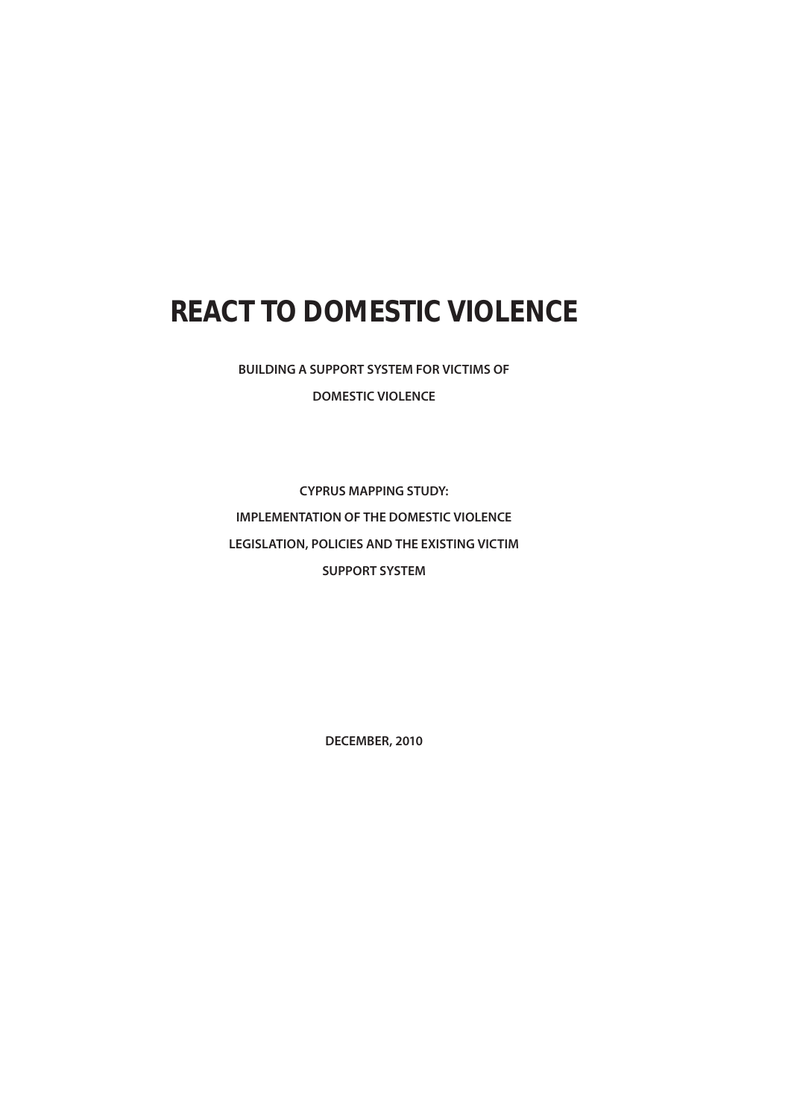# **REACT TO DOMESTIC VIOLENCE**

**BUILDING A SUPPORT SYSTEM FOR VICTIMS OF DOMESTIC VIOLENCE**

**CYPRUS MAPPING STUDY: IMPLEMENTATION OF THE DOMESTIC VIOLENCE LEGISLATION, POLICIES AND THE EXISTING VICTIM SUPPORT SYSTEM**

**DECEMBER, 2010**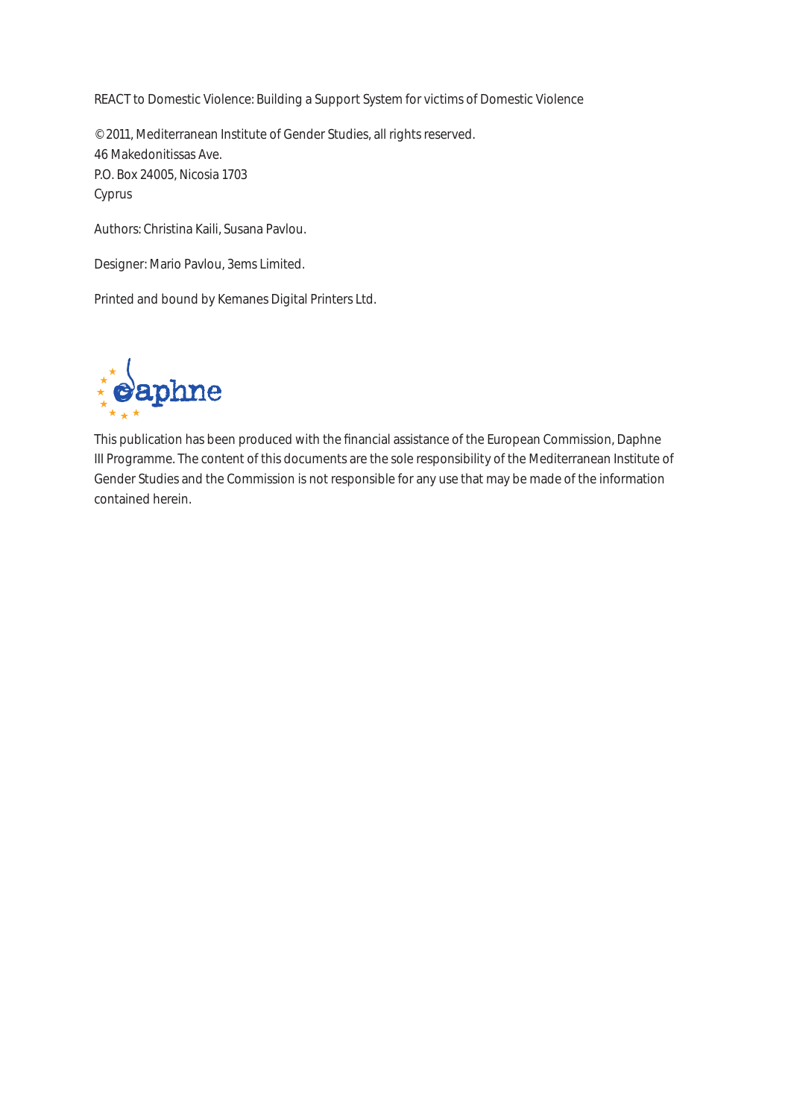REACT to Domestic Violence: Building a Support System for victims of Domestic Violence

© 2011, Mediterranean Institute of Gender Studies, all rights reserved. 46 Makedonitissas Ave. P.O. Box 24005, Nicosia 1703 Cyprus

Authors: Christina Kaili, Susana Pavlou.

Designer: Mario Pavlou, 3ems Limited.

Printed and bound by Kemanes Digital Printers Ltd.



This publication has been produced with the financial assistance of the European Commission, Daphne III Programme. The content of this documents are the sole responsibility of the Mediterranean Institute of Gender Studies and the Commission is not responsible for any use that may be made of the information contained herein.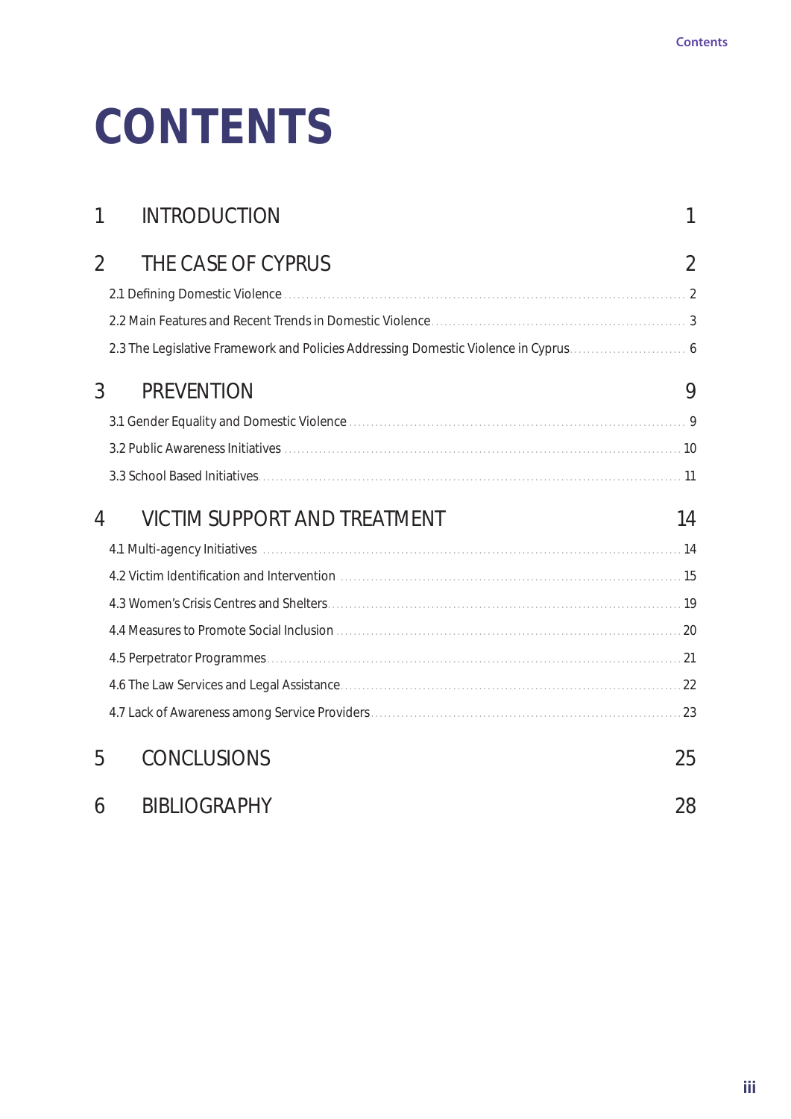# **CONTENTS**

| 1              | <b>INTRODUCTION</b>                                                                                                                                                                                                            | 1  |
|----------------|--------------------------------------------------------------------------------------------------------------------------------------------------------------------------------------------------------------------------------|----|
| $\overline{2}$ | THE CASE OF CYPRUS                                                                                                                                                                                                             | 2  |
|                |                                                                                                                                                                                                                                |    |
|                |                                                                                                                                                                                                                                |    |
|                | 2.3 The Legislative Framework and Policies Addressing Domestic Violence in Cyprus 6                                                                                                                                            |    |
| 3              | <b>PREVENTION</b>                                                                                                                                                                                                              | 9  |
|                |                                                                                                                                                                                                                                |    |
|                |                                                                                                                                                                                                                                |    |
|                |                                                                                                                                                                                                                                |    |
| 4              | <b>VICTIM SUPPORT AND TREATMENT</b>                                                                                                                                                                                            | 14 |
|                |                                                                                                                                                                                                                                |    |
|                | 4.2 Victim Identification and Intervention measurements are all the state of the state of the state of the state of the state of the state of the state of the state of the state of the state of the state of the state of th |    |
|                |                                                                                                                                                                                                                                |    |
|                |                                                                                                                                                                                                                                |    |
|                |                                                                                                                                                                                                                                |    |
|                |                                                                                                                                                                                                                                |    |
|                |                                                                                                                                                                                                                                |    |
| 5              | <b>CONCLUSIONS</b>                                                                                                                                                                                                             | 25 |
| 6              | <b>BIBLIOGRAPHY</b>                                                                                                                                                                                                            | 28 |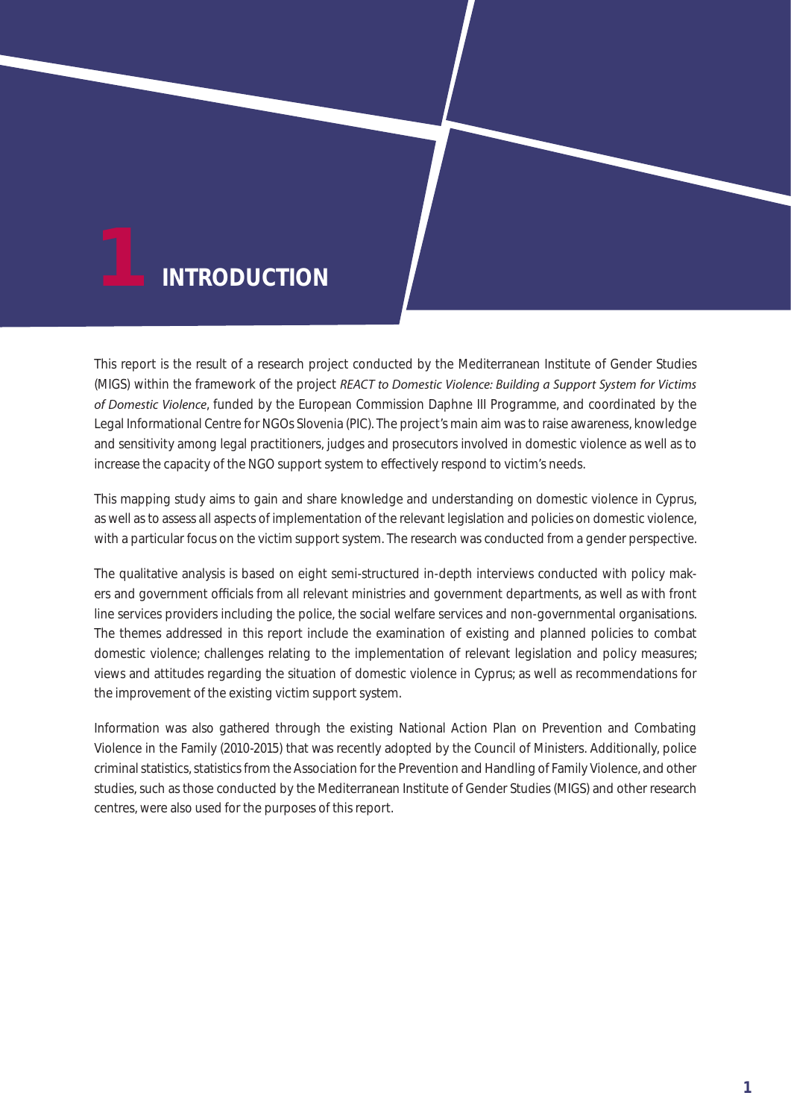# **INTRODUCTION**

This report is the result of a research project conducted by the Mediterranean Institute of Gender Studies (MIGS) within the framework of the project *REACT to Domestic Violence: Building a Support System for Victims of Domestic Violence*, funded by the European Commission Daphne III Programme, and coordinated by the Legal Informational Centre for NGOs Slovenia (PIC). The project's main aim was to raise awareness, knowledge and sensitivity among legal practitioners, judges and prosecutors involved in domestic violence as well as to increase the capacity of the NGO support system to electively respond to victim's needs.

This mapping study aims to gain and share knowledge and understanding on domestic violence in Cyprus, as well as to assess all aspects of implementation of the relevant legislation and policies on domestic violence, with a particular focus on the victim support system. The research was conducted from a gender perspective.

The qualitative analysis is based on eight semi-structured in-depth interviews conducted with policy makers and government o cials from all relevant ministries and government departments, as well as with front line services providers including the police, the social welfare services and non-governmental organisations. The themes addressed in this report include the examination of existing and planned policies to combat domestic violence; challenges relating to the implementation of relevant legislation and policy measures; views and attitudes regarding the situation of domestic violence in Cyprus; as well as recommendations for the improvement of the existing victim support system.

Information was also gathered through the existing National Action Plan on Prevention and Combating Violence in the Family (2010-2015) that was recently adopted by the Council of Ministers. Additionally, police criminal statistics, statistics from the Association for the Prevention and Handling of Family Violence, and other studies, such as those conducted by the Mediterranean Institute of Gender Studies (MIGS) and other research centres, were also used for the purposes of this report.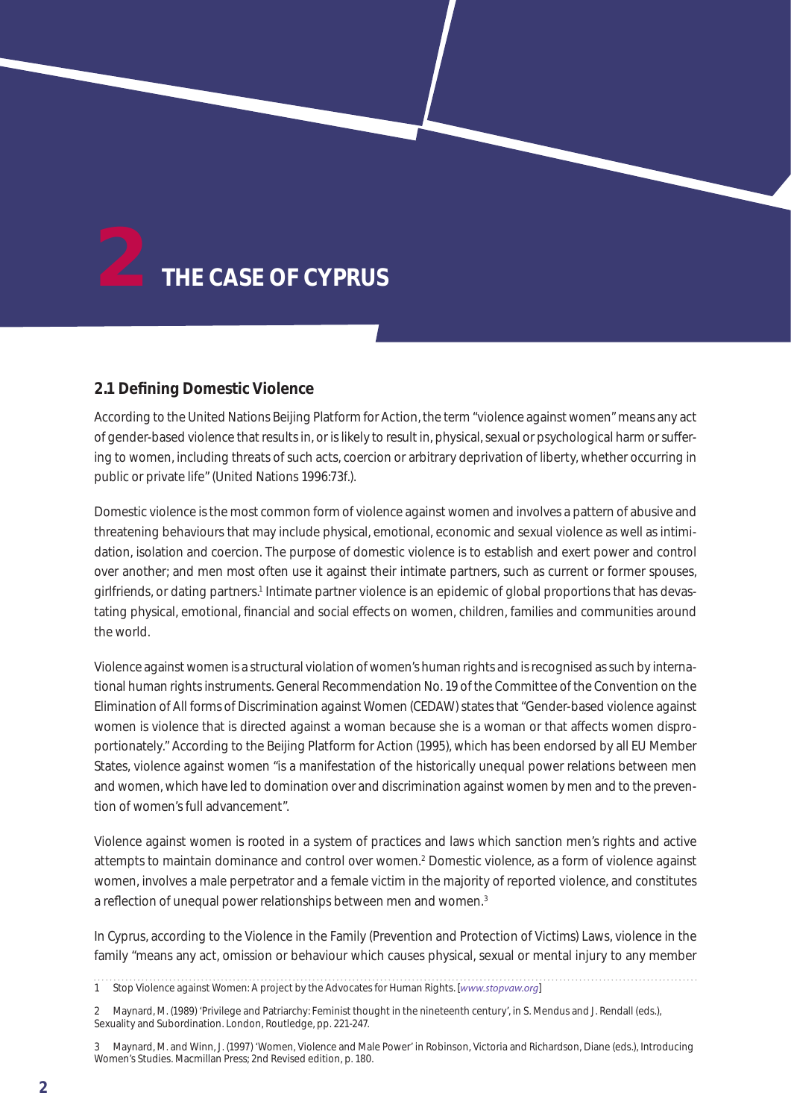

# **2.1 Defining Domestic Violence**

According to the United Nations Beijing Platform for Action, the term "violence against women" means any act of gender-based violence that results in, or is likely to result in, physical, sexual or psychological harm or su ering to women, including threats of such acts, coercion or arbitrary deprivation of liberty, whether occurring in public or private life" (United Nations 1996:73f.).

Domestic violence is the most common form of violence against women and involves a pattern of abusive and threatening behaviours that may include physical, emotional, economic and sexual violence as well as intimidation, isolation and coercion. The purpose of domestic violence is to establish and exert power and control over another; and men most often use it against their intimate partners, such as current or former spouses, girlfriends, or dating partners.<sup>1</sup> Intimate partner violence is an epidemic of global proportions that has devastating physical, emotional, financial and social eects on women, children, families and communities around the world.

Violence against women is a structural violation of women's human rights and is recognised as such by international human rights instruments. General Recommendation No. 19 of the Committee of the Convention on the Elimination of All forms of Discrimination against Women (CEDAW) states that "Gender-based violence against women is violence that is directed against a woman because she is a woman or that a ects women disproportionately." According to the Beijing Platform for Action (1995), which has been endorsed by all EU Member States, violence against women "is a manifestation of the historically unequal power relations between men and women, which have led to domination over and discrimination against women by men and to the prevention of women's full advancement".

Violence against women is rooted in a system of practices and laws which sanction men's rights and active attempts to maintain dominance and control over women.2 Domestic violence, as a form of violence against women, involves a male perpetrator and a female victim in the majority of reported violence, and constitutes a reflection of unequal power relationships between men and women.<sup>3</sup>

In Cyprus, according to the Violence in the Family (Prevention and Protection of Victims) Laws, violence in the family "means any act, omission or behaviour which causes physical, sexual or mental injury to any member

1 Stop Violence against Women: A project by the Advocates for Human Rights. [*www.stopvaw.org*]

<sup>2</sup> Maynard, M. (1989) 'Privilege and Patriarchy: Feminist thought in the nineteenth century', in S. Mendus and J. Rendall (eds.), Sexuality and Subordination. London, Routledge, pp. 221-247.

<sup>3</sup> Maynard, M. and Winn, J. (1997) 'Women, Violence and Male Power' in Robinson, Victoria and Richardson, Diane (eds.), Introducing Women's Studies. Macmillan Press; 2nd Revised edition, p. 180.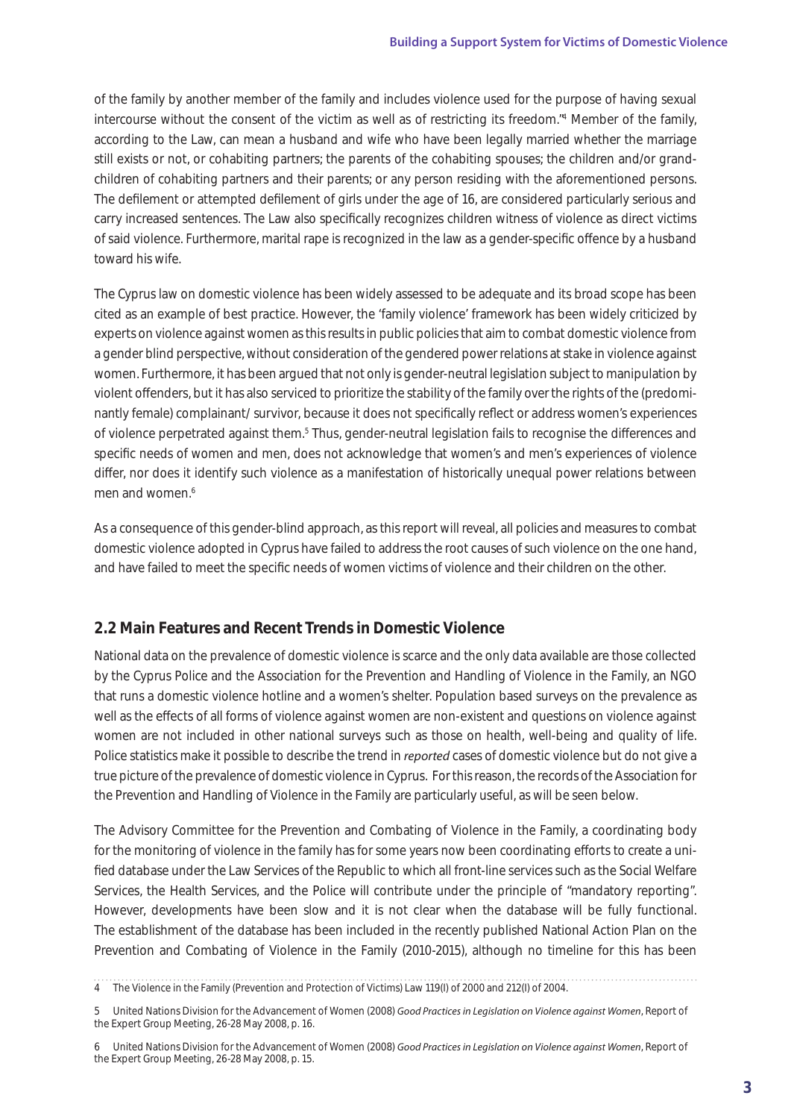of the family by another member of the family and includes violence used for the purpose of having sexual intercourse without the consent of the victim as well as of restricting its freedom."4 Member of the family, according to the Law, can mean a husband and wife who have been legally married whether the marriage still exists or not, or cohabiting partners; the parents of the cohabiting spouses; the children and/or grandchildren of cohabiting partners and their parents; or any person residing with the aforementioned persons. The defilement or attempted defilement of girls under the age of 16, are considered particularly serious and carry increased sentences. The Law also specifically recognizes children witness of violence as direct victims of said violence. Furthermore, marital rape is recognized in the law as a gender-specific o ence by a husband toward his wife.

The Cyprus law on domestic violence has been widely assessed to be adequate and its broad scope has been cited as an example of best practice. However, the 'family violence' framework has been widely criticized by experts on violence against women as this results in public policies that aim to combat domestic violence from a gender blind perspective, without consideration of the gendered power relations at stake in violence against women. Furthermore, it has been argued that not only is gender-neutral legislation subject to manipulation by violent o enders, but it has also serviced to prioritize the stability of the family over the rights of the (predominantly female) complainant/ survivor, because it does not specifically reflect or address women's experiences of violence perpetrated against them.<sup>5</sup> Thus, gender-neutral legislation fails to recognise the di erences and specific needs of women and men, does not acknowledge that women's and men's experiences of violence dier, nor does it identify such violence as a manifestation of historically unequal power relations between men and women $6$ 

As a consequence of this gender-blind approach, as this report will reveal, all policies and measures to combat domestic violence adopted in Cyprus have failed to address the root causes of such violence on the one hand, and have failed to meet the specific needs of women victims of violence and their children on the other.

# **2.2 Main Features and Recent Trends in Domestic Violence**

National data on the prevalence of domestic violence is scarce and the only data available are those collected by the Cyprus Police and the Association for the Prevention and Handling of Violence in the Family, an NGO that runs a domestic violence hotline and a women's shelter. Population based surveys on the prevalence as well as the eects of all forms of violence against women are non-existent and questions on violence against women are not included in other national surveys such as those on health, well-being and quality of life. Police statistics make it possible to describe the trend in *reported* cases of domestic violence but do not give a true picture of the prevalence of domestic violence in Cyprus. For this reason, the records of the Association for the Prevention and Handling of Violence in the Family are particularly useful, as will be seen below.

The Advisory Committee for the Prevention and Combating of Violence in the Family, a coordinating body for the monitoring of violence in the family has for some years now been coordinating e orts to create a unified database under the Law Services of the Republic to which all front-line services such as the Social Welfare Services, the Health Services, and the Police will contribute under the principle of "mandatory reporting". However, developments have been slow and it is not clear when the database will be fully functional. The establishment of the database has been included in the recently published National Action Plan on the Prevention and Combating of Violence in the Family (2010-2015), although no timeline for this has been

4 The Violence in the Family (Prevention and Protection of Victims) Law 119(I) of 2000 and 212(I) of 2004.

<sup>5</sup> United Nations Division for the Advancement of Women (2008) *Good Practices in Legislation on Violence against Women*, Report of the Expert Group Meeting, 26-28 May 2008, p. 16.

<sup>6</sup> United Nations Division for the Advancement of Women (2008) *Good Practices in Legislation on Violence against Women*, Report of the Expert Group Meeting, 26-28 May 2008, p. 15.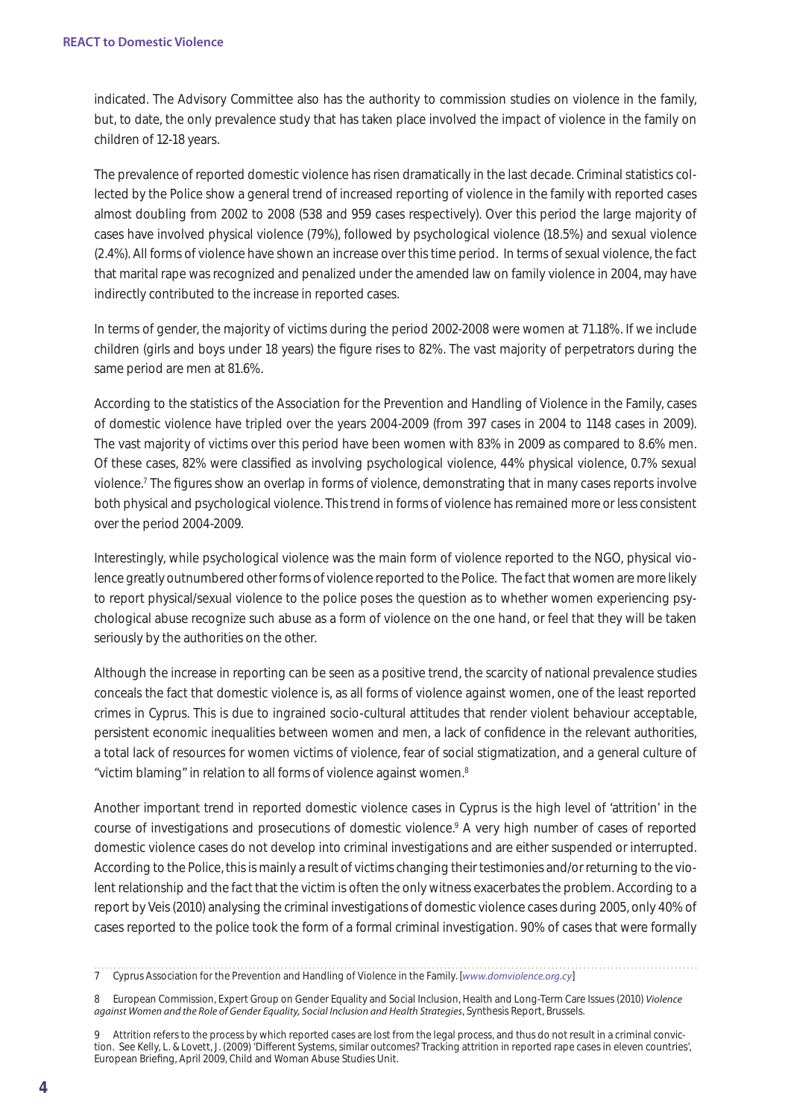indicated. The Advisory Committee also has the authority to commission studies on violence in the family, but, to date, the only prevalence study that has taken place involved the impact of violence in the family on children of 12-18 years.

The prevalence of reported domestic violence has risen dramatically in the last decade. Criminal statistics collected by the Police show a general trend of increased reporting of violence in the family with reported cases almost doubling from 2002 to 2008 (538 and 959 cases respectively). Over this period the large majority of cases have involved physical violence (79%), followed by psychological violence (18.5%) and sexual violence (2.4%). All forms of violence have shown an increase over this time period. In terms of sexual violence, the fact that marital rape was recognized and penalized under the amended law on family violence in 2004, may have indirectly contributed to the increase in reported cases.

In terms of gender, the majority of victims during the period 2002-2008 were women at 71.18%. If we include children (girls and boys under 18 years) the figure rises to 82%. The vast majority of perpetrators during the same period are men at 81.6%.

According to the statistics of the Association for the Prevention and Handling of Violence in the Family, cases of domestic violence have tripled over the years 2004-2009 (from 397 cases in 2004 to 1148 cases in 2009). The vast majority of victims over this period have been women with 83% in 2009 as compared to 8.6% men. Of these cases, 82% were classified as involving psychological violence, 44% physical violence, 0.7% sexual violence.7 The figures show an overlap in forms of violence, demonstrating that in many cases reports involve both physical and psychological violence. This trend in forms of violence has remained more or less consistent over the period 2004-2009.

Interestingly, while psychological violence was the main form of violence reported to the NGO, physical violence greatly outnumbered other forms of violence reported to the Police. The fact that women are more likely to report physical/sexual violence to the police poses the question as to whether women experiencing psychological abuse recognize such abuse as a form of violence on the one hand, or feel that they will be taken seriously by the authorities on the other.

Although the increase in reporting can be seen as a positive trend, the scarcity of national prevalence studies conceals the fact that domestic violence is, as all forms of violence against women, one of the least reported crimes in Cyprus. This is due to ingrained socio-cultural attitudes that render violent behaviour acceptable, persistent economic inequalities between women and men, a lack of confidence in the relevant authorities, a total lack of resources for women victims of violence, fear of social stigmatization, and a general culture of "victim blaming" in relation to all forms of violence against women.8

Another important trend in reported domestic violence cases in Cyprus is the high level of 'attrition' in the course of investigations and prosecutions of domestic violence.9 A very high number of cases of reported domestic violence cases do not develop into criminal investigations and are either suspended or interrupted. According to the Police, this is mainly a result of victims changing their testimonies and/or returning to the violent relationship and the fact that the victim is often the only witness exacerbates the problem. According to a report by Veis (2010) analysing the criminal investigations of domestic violence cases during 2005, only 40% of cases reported to the police took the form of a formal criminal investigation. 90% of cases that were formally

<sup>7</sup> Cyprus Association for the Prevention and Handling of Violence in the Family. [*www.domviolence.org.cy*]

<sup>8</sup> European Commission, Expert Group on Gender Equality and Social Inclusion, Health and Long-Term Care Issues (2010) *Violence against Women and the Role of Gender Equality, Social Inclusion and Health Strategies*, Synthesis Report, Brussels.

<sup>9</sup> Attrition refers to the process by which reported cases are lost from the legal process, and thus do not result in a criminal conviction. See Kelly, L. & Lovett, J. (2009) 'Di erent Systems, similar outcomes? Tracking attrition in reported rape cases in eleven countries', European Briefing, April 2009, Child and Woman Abuse Studies Unit.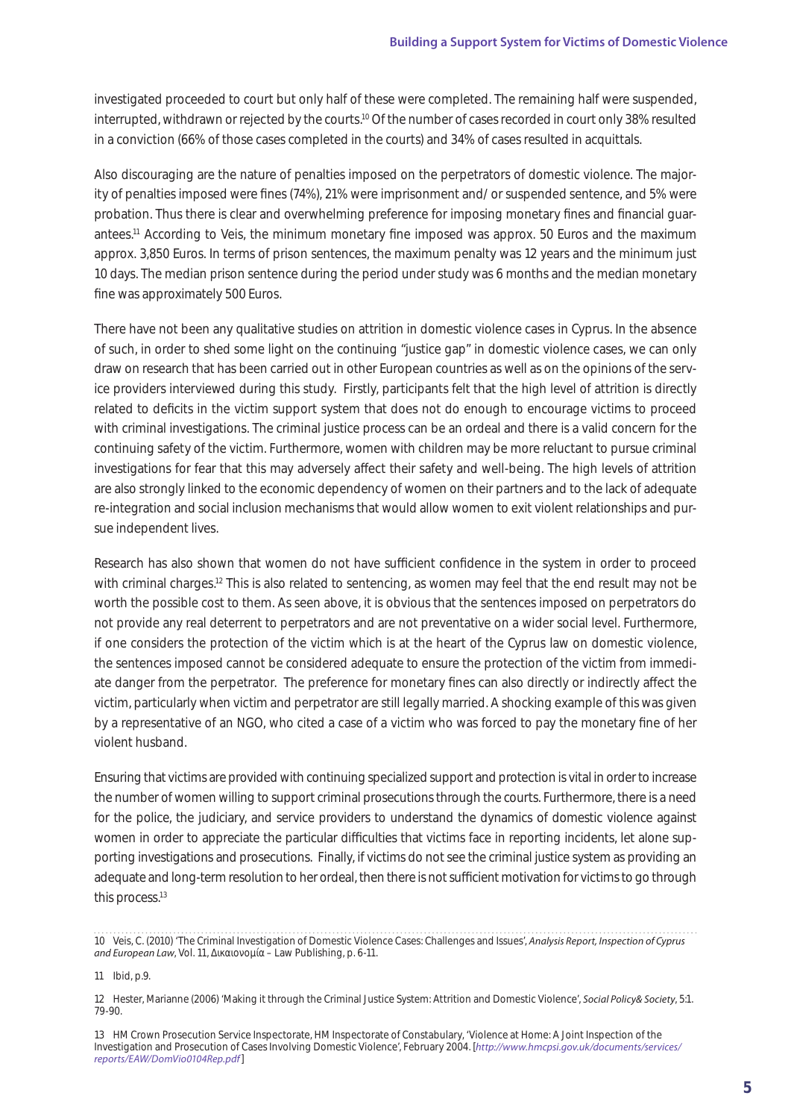investigated proceeded to court but only half of these were completed. The remaining half were suspended, interrupted, withdrawn or rejected by the courts.10 Of the number of cases recorded in court only 38% resulted in a conviction (66% of those cases completed in the courts) and 34% of cases resulted in acquittals.

Also discouraging are the nature of penalties imposed on the perpetrators of domestic violence. The majority of penalties imposed were fines (74%), 21% were imprisonment and/ or suspended sentence, and 5% were probation. Thus there is clear and overwhelming preference for imposing monetary fines and financial guarantees.11 According to Veis, the minimum monetary fine imposed was approx. 50 Euros and the maximum approx. 3,850 Euros. In terms of prison sentences, the maximum penalty was 12 years and the minimum just 10 days. The median prison sentence during the period under study was 6 months and the median monetary fine was approximately 500 Euros.

There have not been any qualitative studies on attrition in domestic violence cases in Cyprus. In the absence of such, in order to shed some light on the continuing "justice gap" in domestic violence cases, we can only draw on research that has been carried out in other European countries as well as on the opinions of the service providers interviewed during this study. Firstly, participants felt that the high level of attrition is directly related to deficits in the victim support system that does not do enough to encourage victims to proceed with criminal investigations. The criminal justice process can be an ordeal and there is a valid concern for the continuing safety of the victim. Furthermore, women with children may be more reluctant to pursue criminal investigations for fear that this may adversely a ect their safety and well-being. The high levels of attrition are also strongly linked to the economic dependency of women on their partners and to the lack of adequate re-integration and social inclusion mechanisms that would allow women to exit violent relationships and pursue independent lives.

Research has also shown that women do not have su cient confidence in the system in order to proceed with criminal charges.<sup>12</sup> This is also related to sentencing, as women may feel that the end result may not be worth the possible cost to them. As seen above, it is obvious that the sentences imposed on perpetrators do not provide any real deterrent to perpetrators and are not preventative on a wider social level. Furthermore, if one considers the protection of the victim which is at the heart of the Cyprus law on domestic violence, the sentences imposed cannot be considered adequate to ensure the protection of the victim from immediate danger from the perpetrator. The preference for monetary fines can also directly or indirectly a ect the victim, particularly when victim and perpetrator are still legally married. A shocking example of this was given by a representative of an NGO, who cited a case of a victim who was forced to pay the monetary fine of her violent husband.

Ensuring that victims are provided with continuing specialized support and protection is vital in order to increase the number of women willing to support criminal prosecutions through the courts. Furthermore, there is a need for the police, the judiciary, and service providers to understand the dynamics of domestic violence against women in order to appreciate the particular die culties that victims face in reporting incidents, let alone supporting investigations and prosecutions. Finally, if victims do not see the criminal justice system as providing an adequate and long-term resolution to her ordeal, then there is not sue cient motivation for victims to go through this process.<sup>13</sup>

<sup>10</sup> Veis, C. (2010) 'The Criminal Investigation of Domestic Violence Cases: Challenges and Issues', *Analysis Report, Inspection of Cyprus and European Law*, Vol. 11, ∆ικαιονομία – Law Publishing, p. 6-11.

<sup>11</sup> Ibid, p.9.

<sup>12</sup> Hester, Marianne (2006) 'Making it through the Criminal Justice System: Attrition and Domestic Violence', *Social Policy& Society*, 5:1. 79-90.

<sup>13</sup> HM Crown Prosecution Service Inspectorate, HM Inspectorate of Constabulary, 'Violence at Home: A Joint Inspection of the Investigation and Prosecution of Cases Involving Domestic Violence', February 2004. [*http://www.hmcpsi.gov.uk/documents/services/ reports/EAW/DomVio0104Rep.pdf*]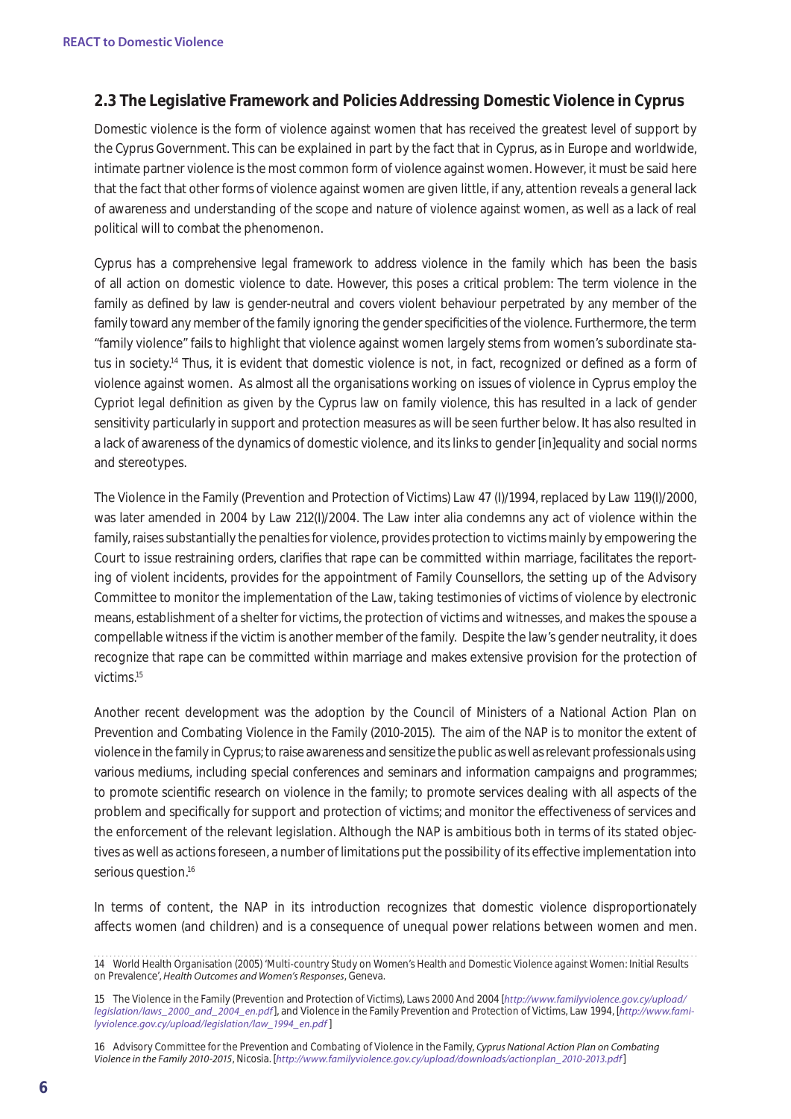# **2.3 The Legislative Framework and Policies Addressing Domestic Violence in Cyprus**

Domestic violence is the form of violence against women that has received the greatest level of support by the Cyprus Government. This can be explained in part by the fact that in Cyprus, as in Europe and worldwide, intimate partner violence is the most common form of violence against women. However, it must be said here that the fact that other forms of violence against women are given little, if any, attention reveals a general lack of awareness and understanding of the scope and nature of violence against women, as well as a lack of real political will to combat the phenomenon.

Cyprus has a comprehensive legal framework to address violence in the family which has been the basis of all action on domestic violence to date. However, this poses a critical problem: The term violence in the family as defined by law is gender-neutral and covers violent behaviour perpetrated by any member of the family toward any member of the family ignoring the gender specificities of the violence. Furthermore, the term "family violence" fails to highlight that violence against women largely stems from women's subordinate status in society.14 Thus, it is evident that domestic violence is not, in fact, recognized or defined as a form of violence against women. As almost all the organisations working on issues of violence in Cyprus employ the Cypriot legal definition as given by the Cyprus law on family violence, this has resulted in a lack of gender sensitivity particularly in support and protection measures as will be seen further below. It has also resulted in a lack of awareness of the dynamics of domestic violence, and its links to gender [in]equality and social norms and stereotypes.

The Violence in the Family (Prevention and Protection of Victims) Law 47 (I)/1994, replaced by Law 119(I)/2000, was later amended in 2004 by Law 212(I)/2004. The Law inter alia condemns any act of violence within the family, raises substantially the penalties for violence, provides protection to victims mainly by empowering the Court to issue restraining orders, clarifies that rape can be committed within marriage, facilitates the reporting of violent incidents, provides for the appointment of Family Counsellors, the setting up of the Advisory Committee to monitor the implementation of the Law, taking testimonies of victims of violence by electronic means, establishment of a shelter for victims, the protection of victims and witnesses, and makes the spouse a compellable witness if the victim is another member of the family. Despite the law's gender neutrality, it does recognize that rape can be committed within marriage and makes extensive provision for the protection of victims.15

Another recent development was the adoption by the Council of Ministers of a National Action Plan on Prevention and Combating Violence in the Family (2010-2015). The aim of the NAP is to monitor the extent of violence in the family in Cyprus; to raise awareness and sensitize the public as well as relevant professionals using various mediums, including special conferences and seminars and information campaigns and programmes; to promote scientific research on violence in the family; to promote services dealing with all aspects of the problem and specifically for support and protection of victims; and monitor the eectiveness of services and the enforcement of the relevant legislation. Although the NAP is ambitious both in terms of its stated objectives as well as actions foreseen, a number of limitations put the possibility of its e ective implementation into serious question.<sup>16</sup>

In terms of content, the NAP in its introduction recognizes that domestic violence disproportionately a ects women (and children) and is a consequence of unequal power relations between women and men.

16 Advisory Committee for the Prevention and Combating of Violence in the Family, *Cyprus National Action Plan on Combating Violence in the Family 2010-2015*, Nicosia. [*http://www.familyviolence.gov.cy/upload/downloads/actionplan\_2010-2013.pdf*]

<sup>14</sup> World Health Organisation (2005) 'Multi-country Study on Women's Health and Domestic Violence against Women: Initial Results on Prevalence', *Health Outcomes and Women's Responses*, Geneva.

<sup>15</sup> The Violence in the Family (Prevention and Protection of Victims), Laws 2000 And 2004 [*http://www.familyviolence.gov.cy/upload/ legislation/laws\_2000\_and\_2004\_en.pdf*], and Violence in the Family Prevention and Protection of Victims, Law 1994, [*http://www.familyviolence.gov.cy/upload/legislation/law\_1994\_en.pdf* ]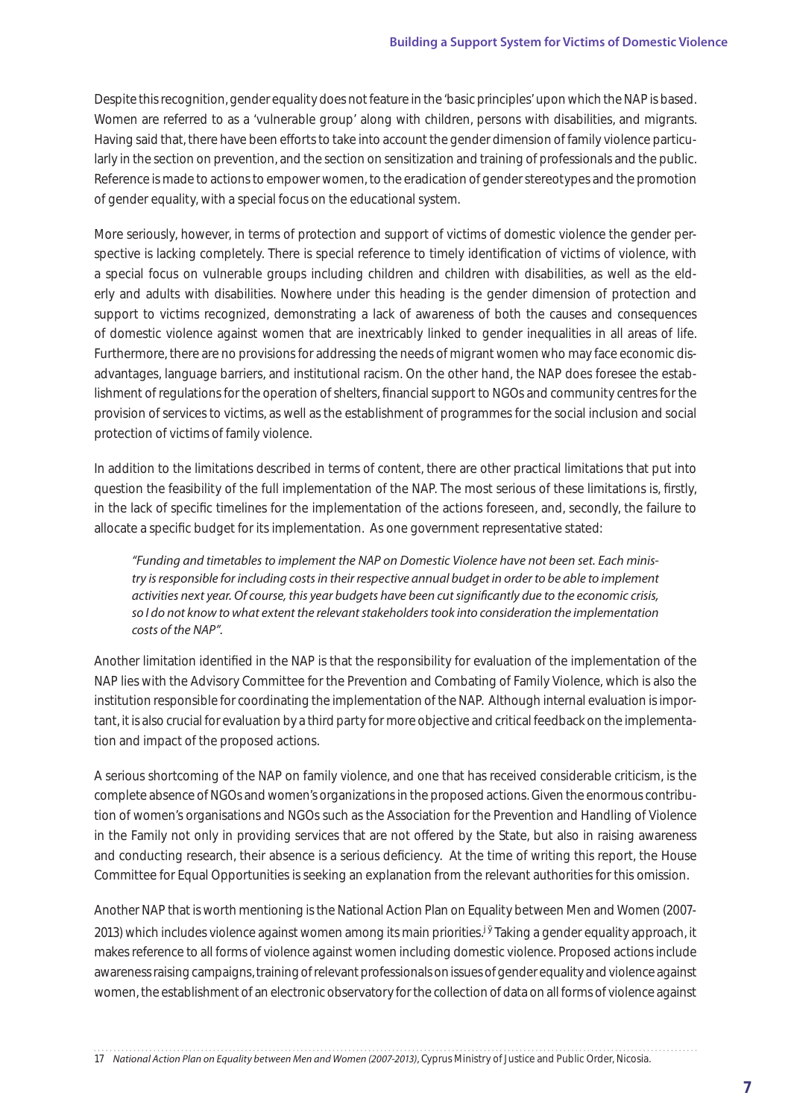Despite this recognition, gender equality does not feature in the 'basic principles' upon which the NAP is based. Women are referred to as a 'vulnerable group' along with children, persons with disabilities, and migrants. Having said that, there have been e orts to take into account the gender dimension of family violence particularly in the section on prevention, and the section on sensitization and training of professionals and the public. Reference is made to actions to empower women, to the eradication of gender stereotypes and the promotion of gender equality, with a special focus on the educational system.

More seriously, however, in terms of protection and support of victims of domestic violence the gender perspective is lacking completely. There is special reference to timely identification of victims of violence, with a special focus on vulnerable groups including children and children with disabilities, as well as the elderly and adults with disabilities. Nowhere under this heading is the gender dimension of protection and support to victims recognized, demonstrating a lack of awareness of both the causes and consequences of domestic violence against women that are inextricably linked to gender inequalities in all areas of life. Furthermore, there are no provisions for addressing the needs of migrant women who may face economic disadvantages, language barriers, and institutional racism. On the other hand, the NAP does foresee the establishment of regulations for the operation of shelters, financial support to NGOs and community centres for the provision of services to victims, as well as the establishment of programmes for the social inclusion and social protection of victims of family violence.

In addition to the limitations described in terms of content, there are other practical limitations that put into question the feasibility of the full implementation of the NAP. The most serious of these limitations is, firstly, in the lack of specific timelines for the implementation of the actions foreseen, and, secondly, the failure to allocate a specific budget for its implementation. As one government representative stated:

*"Funding and timetables to implement the NAP on Domestic Violence have not been set. Each ministry is responsible for including costs in their respective annual budget in order to be able to implement activities next year. Of course, this year budgets have been cut significantly due to the economic crisis, so I do not know to what extent the relevant stakeholders took into consideration the implementation costs of the NAP".*

Another limitation identified in the NAP is that the responsibility for evaluation of the implementation of the NAP lies with the Advisory Committee for the Prevention and Combating of Family Violence, which is also the institution responsible for coordinating the implementation of the NAP. Although internal evaluation is important, it is also crucial for evaluation by a third party for more objective and critical feedback on the implementation and impact of the proposed actions.

A serious shortcoming of the NAP on family violence, and one that has received considerable criticism, is the complete absence of NGOs and women's organizations in the proposed actions. Given the enormous contribution of women's organisations and NGOs such as the Association for the Prevention and Handling of Violence in the Family not only in providing services that are not offered by the State, but also in raising awareness and conducting research, their absence is a serious deficiency. At the time of writing this report, the House Committee for Equal Opportunities is seeking an explanation from the relevant authorities for this omission.

Another NAP that is worth mentioning is the National Action Plan on Equality between Men and Women (2007- 2013) which includes violence against women among its main priorities.<sup>17</sup> Taking a gender equality approach, it makes reference to all forms of violence against women including domestic violence. Proposed actions include awareness raising campaigns, training of relevant professionals on issues of gender equality and violence against women, the establishment of an electronic observatory for the collection of data on all forms of violence against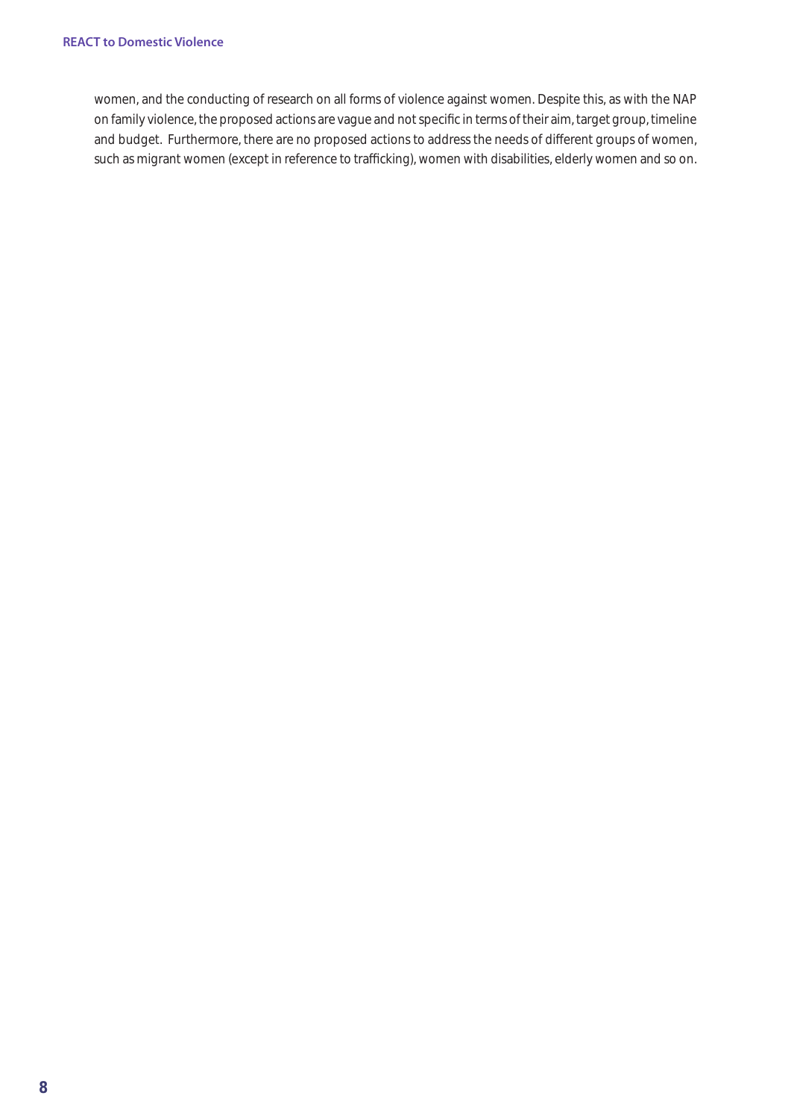women, and the conducting of research on all forms of violence against women. Despite this, as with the NAP on family violence, the proposed actions are vague and not specific in terms of their aim, target group, timeline and budget. Furthermore, there are no proposed actions to address the needs of di erent groups of women, such as migrant women (except in reference to tra cking), women with disabilities, elderly women and so on.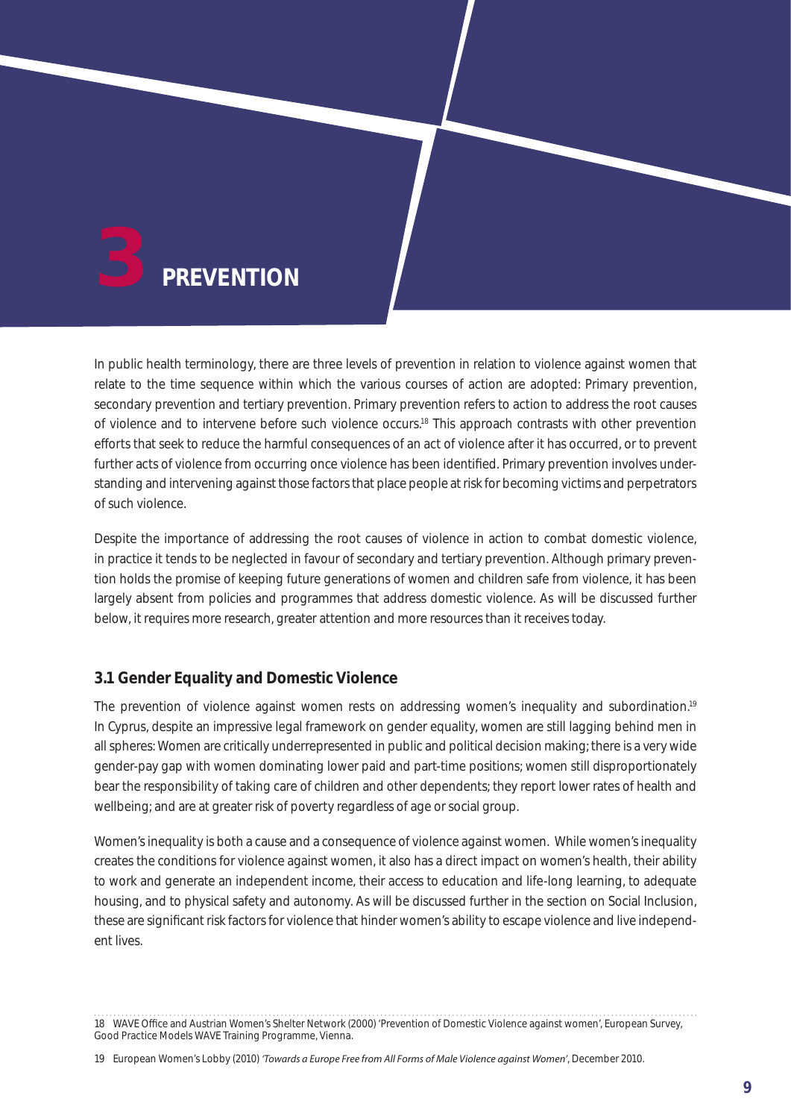

In public health terminology, there are three levels of prevention in relation to violence against women that relate to the time sequence within which the various courses of action are adopted: Primary prevention, secondary prevention and tertiary prevention. Primary prevention refers to action to address the root causes of violence and to intervene before such violence occurs.18 This approach contrasts with other prevention e orts that seek to reduce the harmful consequences of an act of violence after it has occurred, or to prevent further acts of violence from occurring once violence has been identified. Primary prevention involves understanding and intervening against those factors that place people at risk for becoming victims and perpetrators of such violence.

Despite the importance of addressing the root causes of violence in action to combat domestic violence, in practice it tends to be neglected in favour of secondary and tertiary prevention. Although primary prevention holds the promise of keeping future generations of women and children safe from violence, it has been largely absent from policies and programmes that address domestic violence. As will be discussed further below, it requires more research, greater attention and more resources than it receives today.

# **3.1 Gender Equality and Domestic Violence**

The prevention of violence against women rests on addressing women's inequality and subordination.<sup>19</sup> In Cyprus, despite an impressive legal framework on gender equality, women are still lagging behind men in all spheres: Women are critically underrepresented in public and political decision making; there is a very wide gender-pay gap with women dominating lower paid and part-time positions; women still disproportionately bear the responsibility of taking care of children and other dependents; they report lower rates of health and wellbeing; and are at greater risk of poverty regardless of age or social group.

Women's inequality is both a cause and a consequence of violence against women. While women's inequality creates the conditions for violence against women, it also has a direct impact on women's health, their ability to work and generate an independent income, their access to education and life-long learning, to adequate housing, and to physical safety and autonomy. As will be discussed further in the section on Social Inclusion, these are significant risk factors for violence that hinder women's ability to escape violence and live independent lives.

<sup>18</sup> WAVE O ce and Austrian Women's Shelter Network (2000) 'Prevention of Domestic Violence against women', European Survey, Good Practice Models WAVE Training Programme, Vienna.

<sup>19</sup> European Women's Lobby (2010) *'Towards a Europe Free from All Forms of Male Violence against Women'*, December 2010.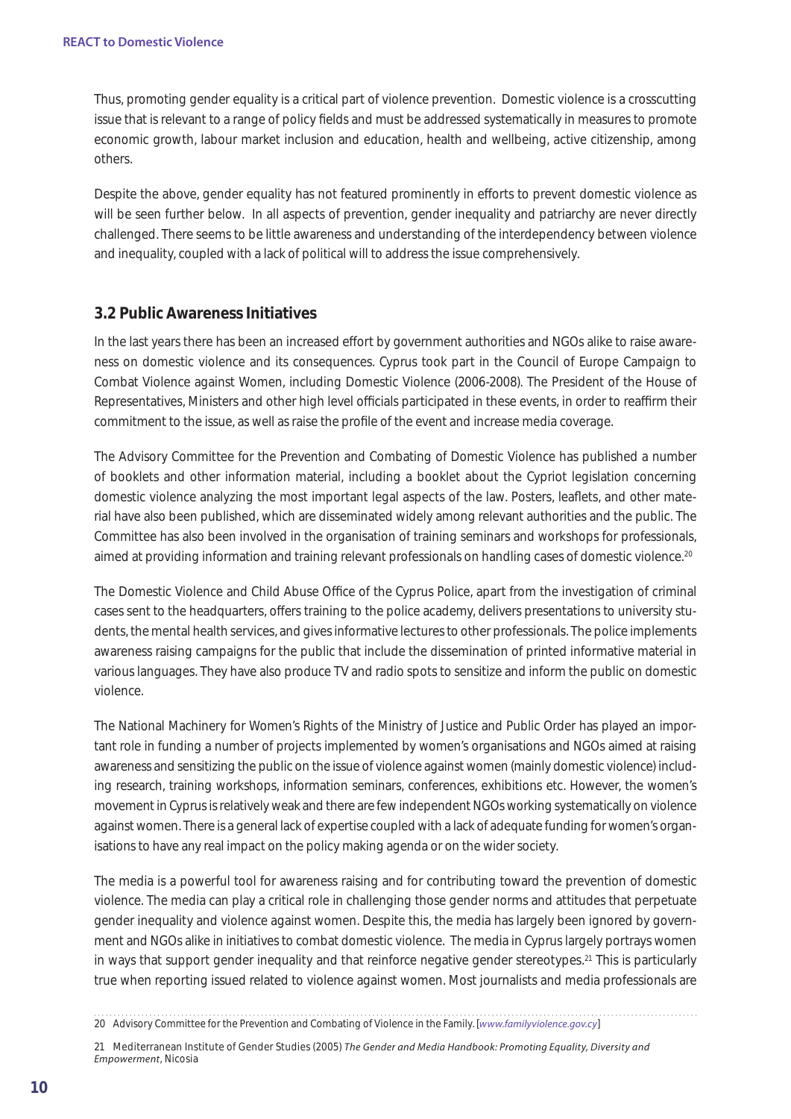Thus, promoting gender equality is a critical part of violence prevention. Domestic violence is a crosscutting issue that is relevant to a range of policy fields and must be addressed systematically in measures to promote economic growth, labour market inclusion and education, health and wellbeing, active citizenship, among others.

Despite the above, gender equality has not featured prominently in e orts to prevent domestic violence as will be seen further below. In all aspects of prevention, gender inequality and patriarchy are never directly challenged. There seems to be little awareness and understanding of the interdependency between violence and inequality, coupled with a lack of political will to address the issue comprehensively.

# **3.2 Public Awareness Initiatives**

In the last years there has been an increased e ort by government authorities and NGOs alike to raise awareness on domestic violence and its consequences. Cyprus took part in the Council of Europe Campaign to Combat Violence against Women, including Domestic Violence (2006-2008). The President of the House of Representatives, Ministers and other high level o cials participated in these events, in order to rea rm their commitment to the issue, as well as raise the profile of the event and increase media coverage.

The Advisory Committee for the Prevention and Combating of Domestic Violence has published a number of booklets and other information material, including a booklet about the Cypriot legislation concerning domestic violence analyzing the most important legal aspects of the law. Posters, leaflets, and other material have also been published, which are disseminated widely among relevant authorities and the public. The Committee has also been involved in the organisation of training seminars and workshops for professionals, aimed at providing information and training relevant professionals on handling cases of domestic violence.<sup>20</sup>

The Domestic Violence and Child Abuse O ce of the Cyprus Police, apart from the investigation of criminal cases sent to the headquarters, overs training to the police academy, delivers presentations to university students, the mental health services, and gives informative lectures to other professionals. The police implements awareness raising campaigns for the public that include the dissemination of printed informative material in various languages. They have also produce TV and radio spots to sensitize and inform the public on domestic violence.

The National Machinery for Women's Rights of the Ministry of Justice and Public Order has played an important role in funding a number of projects implemented by women's organisations and NGOs aimed at raising awareness and sensitizing the public on the issue of violence against women (mainly domestic violence) including research, training workshops, information seminars, conferences, exhibitions etc. However, the women's movement in Cyprus is relatively weak and there are few independent NGOs working systematically on violence against women. There is a general lack of expertise coupled with a lack of adequate funding for women's organisations to have any real impact on the policy making agenda or on the wider society.

The media is a powerful tool for awareness raising and for contributing toward the prevention of domestic violence. The media can play a critical role in challenging those gender norms and attitudes that perpetuate gender inequality and violence against women. Despite this, the media has largely been ignored by government and NGOs alike in initiatives to combat domestic violence. The media in Cyprus largely portrays women in ways that support gender inequality and that reinforce negative gender stereotypes.<sup>21</sup> This is particularly true when reporting issued related to violence against women. Most journalists and media professionals are

<sup>20</sup> Advisory Committee for the Prevention and Combating of Violence in the Family. [*www.familyviolence.gov.cy*]

<sup>21</sup> Mediterranean Institute of Gender Studies (2005) *The Gender and Media Handbook: Promoting Equality, Diversity and Empowerment*, Nicosia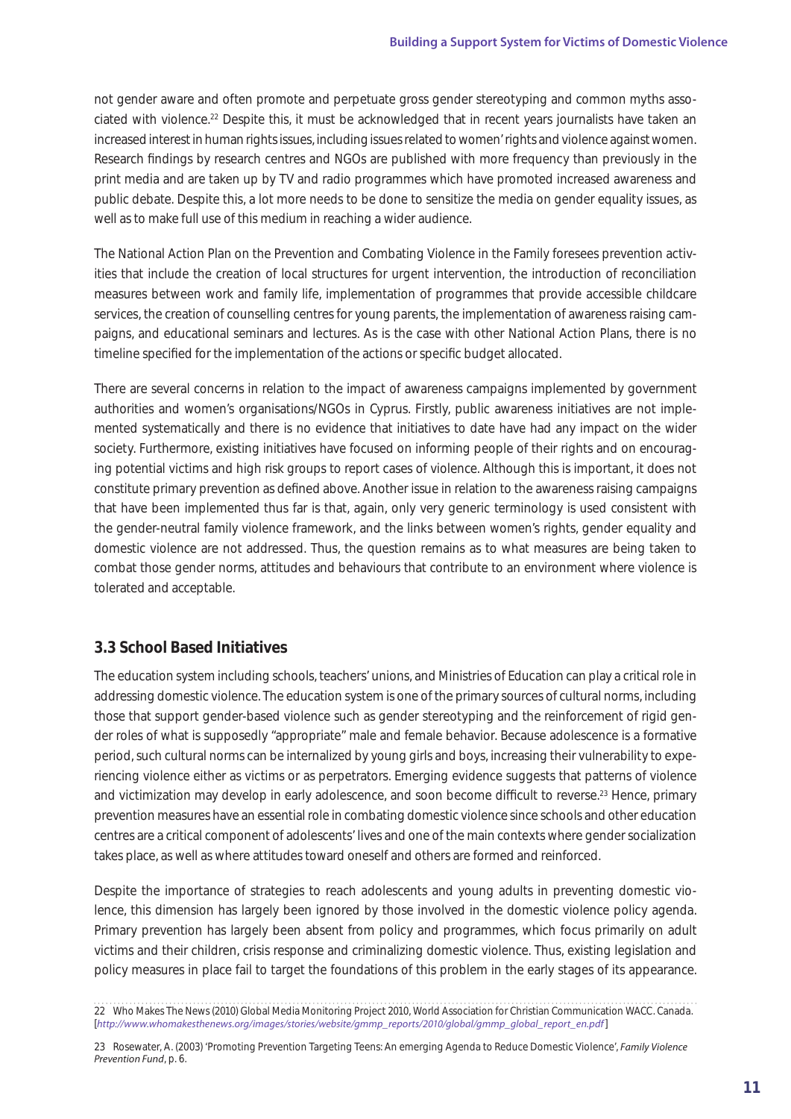not gender aware and often promote and perpetuate gross gender stereotyping and common myths associated with violence.22 Despite this, it must be acknowledged that in recent years journalists have taken an increased interest in human rights issues, including issues related to women' rights and violence against women. Research findings by research centres and NGOs are published with more frequency than previously in the print media and are taken up by TV and radio programmes which have promoted increased awareness and public debate. Despite this, a lot more needs to be done to sensitize the media on gender equality issues, as well as to make full use of this medium in reaching a wider audience.

The National Action Plan on the Prevention and Combating Violence in the Family foresees prevention activities that include the creation of local structures for urgent intervention, the introduction of reconciliation measures between work and family life, implementation of programmes that provide accessible childcare services, the creation of counselling centres for young parents, the implementation of awareness raising campaigns, and educational seminars and lectures. As is the case with other National Action Plans, there is no timeline specified for the implementation of the actions or specific budget allocated.

There are several concerns in relation to the impact of awareness campaigns implemented by government authorities and women's organisations/NGOs in Cyprus. Firstly, public awareness initiatives are not implemented systematically and there is no evidence that initiatives to date have had any impact on the wider society. Furthermore, existing initiatives have focused on informing people of their rights and on encouraging potential victims and high risk groups to report cases of violence. Although this is important, it does not constitute primary prevention as defined above. Another issue in relation to the awareness raising campaigns that have been implemented thus far is that, again, only very generic terminology is used consistent with the gender-neutral family violence framework, and the links between women's rights, gender equality and domestic violence are not addressed. Thus, the question remains as to what measures are being taken to combat those gender norms, attitudes and behaviours that contribute to an environment where violence is tolerated and acceptable.

# **3.3 School Based Initiatives**

The education system including schools, teachers' unions, and Ministries of Education can play a critical role in addressing domestic violence. The education system is one of the primary sources of cultural norms, including those that support gender-based violence such as gender stereotyping and the reinforcement of rigid gender roles of what is supposedly "appropriate" male and female behavior. Because adolescence is a formative period, such cultural norms can be internalized by young girls and boys, increasing their vulnerability to experiencing violence either as victims or as perpetrators. Emerging evidence suggests that patterns of violence and victimization may develop in early adolescence, and soon become di cult to reverse.<sup>23</sup> Hence, primary prevention measures have an essential role in combating domestic violence since schools and other education centres are a critical component of adolescents' lives and one of the main contexts where gender socialization takes place, as well as where attitudes toward oneself and others are formed and reinforced.

Despite the importance of strategies to reach adolescents and young adults in preventing domestic violence, this dimension has largely been ignored by those involved in the domestic violence policy agenda. Primary prevention has largely been absent from policy and programmes, which focus primarily on adult victims and their children, crisis response and criminalizing domestic violence. Thus, existing legislation and policy measures in place fail to target the foundations of this problem in the early stages of its appearance.

<sup>22</sup> Who Makes The News (2010) Global Media Monitoring Project 2010, World Association for Christian Communication WACC. Canada. [*http://www.whomakesthenews.org/images/stories/website/gmmp\_reports/2010/global/gmmp\_global\_report\_en.pdf*]

<sup>23</sup> Rosewater, A. (2003) 'Promoting Prevention Targeting Teens: An emerging Agenda to Reduce Domestic Violence', *Family Violence Prevention Fund*, p. 6.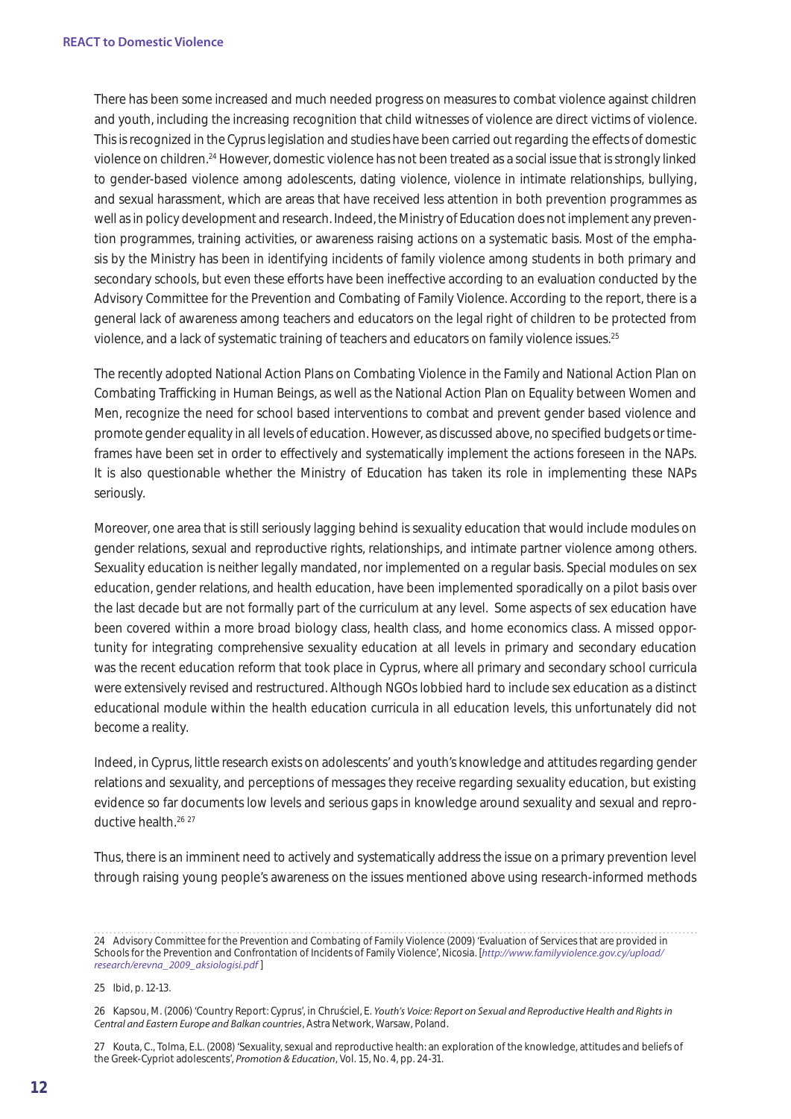There has been some increased and much needed progress on measures to combat violence against children and youth, including the increasing recognition that child witnesses of violence are direct victims of violence. This is recognized in the Cyprus legislation and studies have been carried out regarding the eects of domestic violence on children.24 However, domestic violence has not been treated as a social issue that is strongly linked to gender-based violence among adolescents, dating violence, violence in intimate relationships, bullying, and sexual harassment, which are areas that have received less attention in both prevention programmes as well as in policy development and research. Indeed, the Ministry of Education does not implement any prevention programmes, training activities, or awareness raising actions on a systematic basis. Most of the emphasis by the Ministry has been in identifying incidents of family violence among students in both primary and secondary schools, but even these e orts have been ine ective according to an evaluation conducted by the Advisory Committee for the Prevention and Combating of Family Violence. According to the report, there is a general lack of awareness among teachers and educators on the legal right of children to be protected from violence, and a lack of systematic training of teachers and educators on family violence issues.25

The recently adopted National Action Plans on Combating Violence in the Family and National Action Plan on Combating Tra cking in Human Beings, as well as the National Action Plan on Equality between Women and Men, recognize the need for school based interventions to combat and prevent gender based violence and promote gender equality in all levels of education. However, as discussed above, no specified budgets or timeframes have been set in order to e ectively and systematically implement the actions foreseen in the NAPs. It is also questionable whether the Ministry of Education has taken its role in implementing these NAPs seriously.

Moreover, one area that is still seriously lagging behind is sexuality education that would include modules on gender relations, sexual and reproductive rights, relationships, and intimate partner violence among others. Sexuality education is neither legally mandated, nor implemented on a regular basis. Special modules on sex education, gender relations, and health education, have been implemented sporadically on a pilot basis over the last decade but are not formally part of the curriculum at any level. Some aspects of sex education have been covered within a more broad biology class, health class, and home economics class. A missed opportunity for integrating comprehensive sexuality education at all levels in primary and secondary education was the recent education reform that took place in Cyprus, where all primary and secondary school curricula were extensively revised and restructured. Although NGOs lobbied hard to include sex education as a distinct educational module within the health education curricula in all education levels, this unfortunately did not become a reality.

Indeed, in Cyprus, little research exists on adolescents' and youth's knowledge and attitudes regarding gender relations and sexuality, and perceptions of messages they receive regarding sexuality education, but existing evidence so far documents low levels and serious gaps in knowledge around sexuality and sexual and reproductive health.<sup>26</sup> 27

Thus, there is an imminent need to actively and systematically address the issue on a primary prevention level through raising young people's awareness on the issues mentioned above using research-informed methods

25 Ibid, p. 12-13.

<sup>24</sup> Advisory Committee for the Prevention and Combating of Family Violence (2009) 'Evaluation of Services that are provided in Schools for the Prevention and Confrontation of Incidents of Family Violence', Nicosia. [*http://www.familyviolence.gov.cy/upload/ research/erevna\_2009\_aksiologisi.pdf* ]

<sup>26</sup> Kapsou, M. (2006) 'Country Report: Cyprus', in Chru ciel, E. Youth's Voice: Report on Sexual and Reproductive Health and Rights in *Central and Eastern Europe and Balkan countries*, Astra Network, Warsaw, Poland.

<sup>27</sup> Kouta, C., Tolma, E.L. (2008) 'Sexuality, sexual and reproductive health: an exploration of the knowledge, attitudes and beliefs of the Greek-Cypriot adolescents', *Promotion & Education*, Vol. 15, No. 4, pp. 24-31.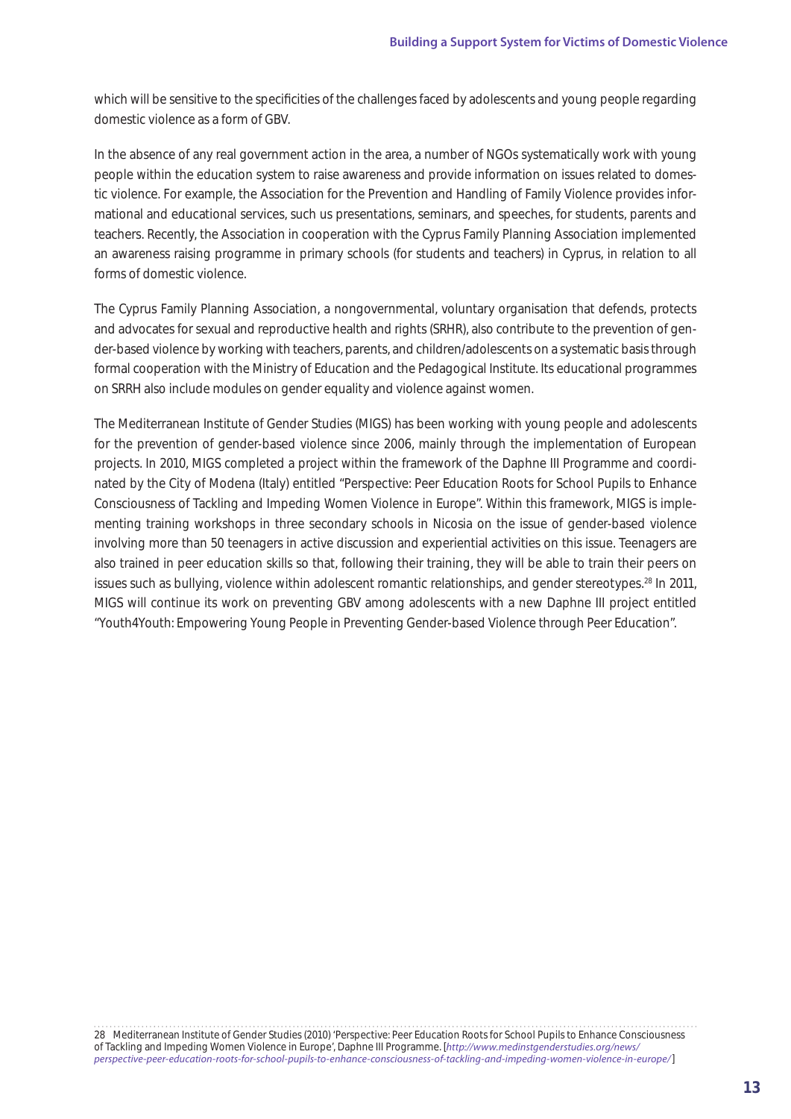which will be sensitive to the specificities of the challenges faced by adolescents and young people regarding domestic violence as a form of GBV.

In the absence of any real government action in the area, a number of NGOs systematically work with young people within the education system to raise awareness and provide information on issues related to domestic violence. For example, the Association for the Prevention and Handling of Family Violence provides informational and educational services, such us presentations, seminars, and speeches, for students, parents and teachers. Recently, the Association in cooperation with the Cyprus Family Planning Association implemented an awareness raising programme in primary schools (for students and teachers) in Cyprus, in relation to all forms of domestic violence.

The Cyprus Family Planning Association, a nongovernmental, voluntary organisation that defends, protects and advocates for sexual and reproductive health and rights (SRHR), also contribute to the prevention of gender-based violence by working with teachers, parents, and children/adolescents on a systematic basis through formal cooperation with the Ministry of Education and the Pedagogical Institute. Its educational programmes on SRRH also include modules on gender equality and violence against women.

The Mediterranean Institute of Gender Studies (MIGS) has been working with young people and adolescents for the prevention of gender-based violence since 2006, mainly through the implementation of European projects. In 2010, MIGS completed a project within the framework of the Daphne III Programme and coordinated by the City of Modena (Italy) entitled "Perspective: Peer Education Roots for School Pupils to Enhance Consciousness of Tackling and Impeding Women Violence in Europe". Within this framework, MIGS is implementing training workshops in three secondary schools in Nicosia on the issue of gender-based violence involving more than 50 teenagers in active discussion and experiential activities on this issue. Teenagers are also trained in peer education skills so that, following their training, they will be able to train their peers on issues such as bullying, violence within adolescent romantic relationships, and gender stereotypes.28 In 2011, MIGS will continue its work on preventing GBV among adolescents with a new Daphne III project entitled "Youth4Youth: Empowering Young People in Preventing Gender-based Violence through Peer Education".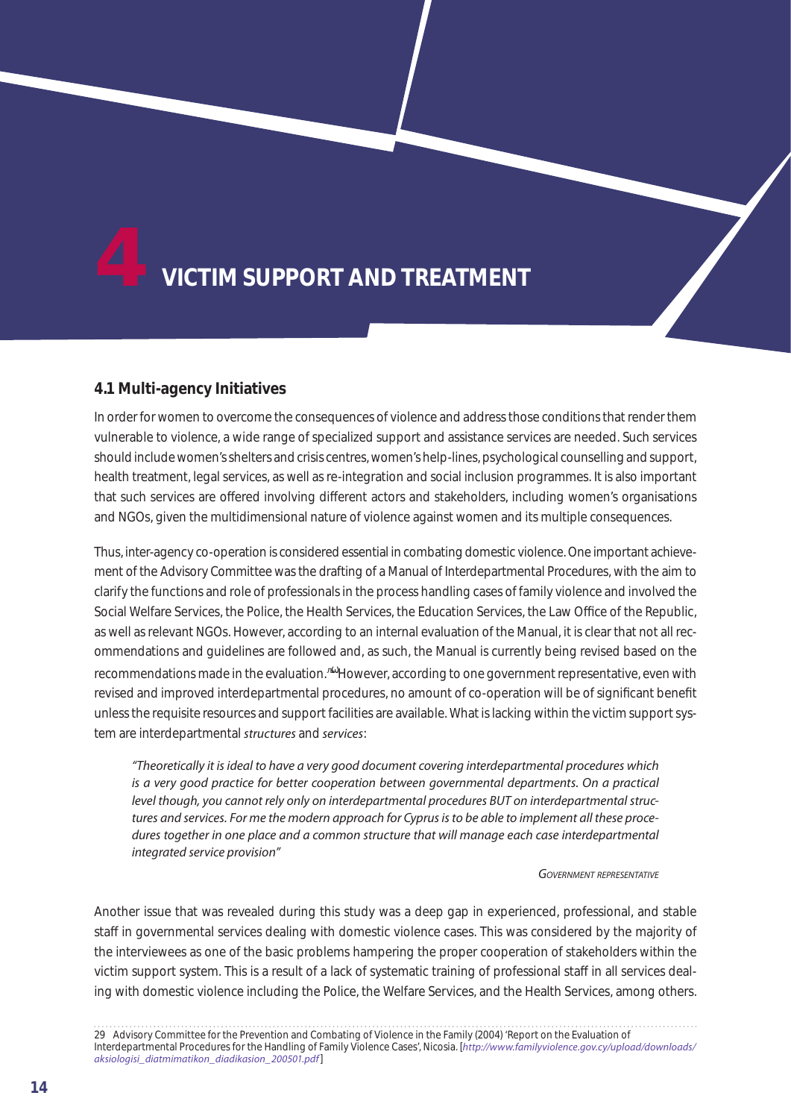

# **4.1 Multi-agency Initiatives**

In order for women to overcome the consequences of violence and address those conditions that render them vulnerable to violence, a wide range of specialized support and assistance services are needed. Such services should include women's shelters and crisis centres, women's help-lines, psychological counselling and support, health treatment, legal services, as well as re-integration and social inclusion programmes. It is also important that such services are offered involving different actors and stakeholders, including women's organisations and NGOs, given the multidimensional nature of violence against women and its multiple consequences.

Thus, inter-agency co-operation is considered essential in combating domestic violence. One important achievement of the Advisory Committee was the drafting of a Manual of Interdepartmental Procedures, with the aim to clarify the functions and role of professionals in the process handling cases of family violence and involved the Social Welfare Services, the Police, the Health Services, the Education Services, the Law O ce of the Republic, as well as relevant NGOs. However, according to an internal evaluation of the Manual, it is clear that not all recommendations and guidelines are followed and, as such, the Manual is currently being revised based on the recommendations made in the evaluation.<sup>29</sup> However, according to one government representative, even with revised and improved interdepartmental procedures, no amount of co-operation will be of significant benefit unless the requisite resources and support facilities are available. What is lacking within the victim support system are interdepartmental *structures* and *services*:

*"Theoretically it is ideal to have a very good document covering interdepartmental procedures which is a very good practice for better cooperation between governmental departments. On a practical level though, you cannot rely only on interdepartmental procedures BUT on interdepartmental structures and services. For me the modern approach for Cyprus is to be able to implement all these proce*dures together in one place and a common structure that will manage each case interdepartmental *integrated service provision"* 

#### *Government representative*

Another issue that was revealed during this study was a deep gap in experienced, professional, and stable sta in governmental services dealing with domestic violence cases. This was considered by the majority of the interviewees as one of the basic problems hampering the proper cooperation of stakeholders within the victim support system. This is a result of a lack of systematic training of professional sta in all services dealing with domestic violence including the Police, the Welfare Services, and the Health Services, among others.

29 Advisory Committee for the Prevention and Combating of Violence in the Family (2004) 'Report on the Evaluation of Interdepartmental Procedures for the Handling of Family Violence Cases', Nicosia. [*http://www.familyviolence.gov.cy/upload/downloads/ aksiologisi\_diatmimatikon\_diadikasion\_200501.pdf*]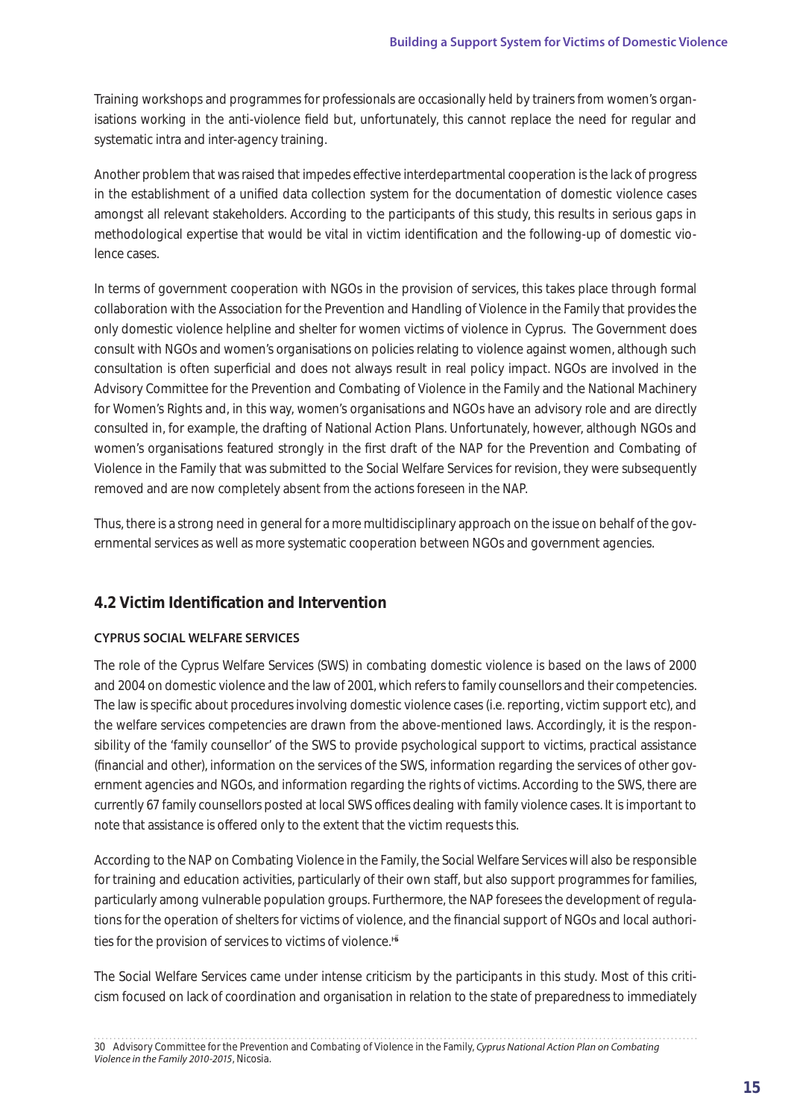Training workshops and programmes for professionals are occasionally held by trainers from women's organisations working in the anti-violence field but, unfortunately, this cannot replace the need for regular and systematic intra and inter-agency training.

Another problem that was raised that impedes eective interdepartmental cooperation is the lack of progress in the establishment of a unified data collection system for the documentation of domestic violence cases amongst all relevant stakeholders. According to the participants of this study, this results in serious gaps in methodological expertise that would be vital in victim identification and the following-up of domestic violence cases.

In terms of government cooperation with NGOs in the provision of services, this takes place through formal collaboration with the Association for the Prevention and Handling of Violence in the Family that provides the only domestic violence helpline and shelter for women victims of violence in Cyprus. The Government does consult with NGOs and women's organisations on policies relating to violence against women, although such consultation is often superficial and does not always result in real policy impact. NGOs are involved in the Advisory Committee for the Prevention and Combating of Violence in the Family and the National Machinery for Women's Rights and, in this way, women's organisations and NGOs have an advisory role and are directly consulted in, for example, the drafting of National Action Plans. Unfortunately, however, although NGOs and women's organisations featured strongly in the first draft of the NAP for the Prevention and Combating of Violence in the Family that was submitted to the Social Welfare Services for revision, they were subsequently removed and are now completely absent from the actions foreseen in the NAP.

Thus, there is a strong need in general for a more multidisciplinary approach on the issue on behalf of the governmental services as well as more systematic cooperation between NGOs and government agencies.

# **4.2 Victim Identification and Intervention**

# **CYPRUS SOCIAL WELFARE SERVICES**

The role of the Cyprus Welfare Services (SWS) in combating domestic violence is based on the laws of 2000 and 2004 on domestic violence and the law of 2001, which refers to family counsellors and their competencies. The law is specific about procedures involving domestic violence cases (i.e. reporting, victim support etc), and the welfare services competencies are drawn from the above-mentioned laws. Accordingly, it is the responsibility of the 'family counsellor' of the SWS to provide psychological support to victims, practical assistance (financial and other), information on the services of the SWS, information regarding the services of other government agencies and NGOs, and information regarding the rights of victims. According to the SWS, there are currently 67 family counsellors posted at local SWS o ces dealing with family violence cases. It is important to note that assistance is  $o$  ered only to the extent that the victim requests this.

According to the NAP on Combating Violence in the Family, the Social Welfare Services will also be responsible for training and education activities, particularly of their own sta, but also support programmes for families, particularly among vulnerable population groups. Furthermore, the NAP foresees the development of regulations for the operation of shelters for victims of violence, and the financial support of NGOs and local authorities for the provision of services to victims of violence.<sup>30</sup>

The Social Welfare Services came under intense criticism by the participants in this study. Most of this criticism focused on lack of coordination and organisation in relation to the state of preparedness to immediately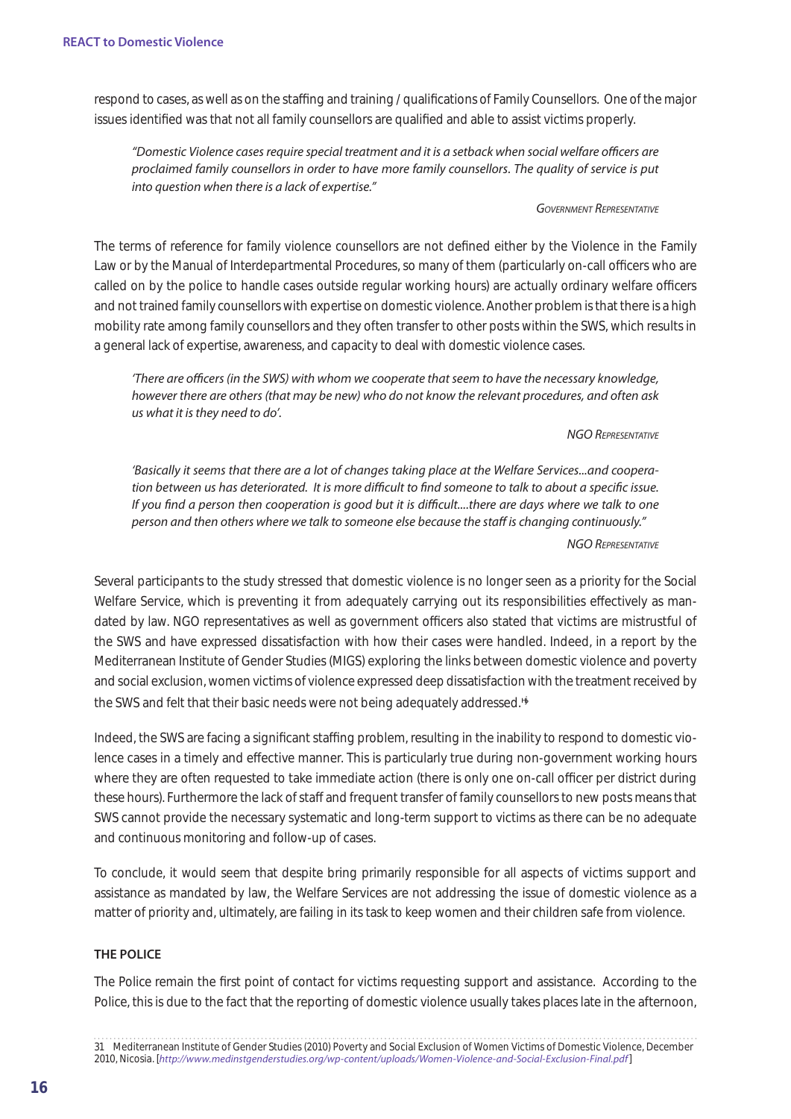respond to cases, as well as on the stagged and training / qualifications of Family Counsellors. One of the major issues identified was that not all family counsellors are qualified and able to assist victims properly.

*"Domestic Violence cases require special treatment and it is a setback when social welfare officers are proclaimed family counsellors in order to have more family counsellors. The quality of service is put into question when there is a lack of expertise."*

#### *Government Representative*

The terms of reference for family violence counsellors are not defined either by the Violence in the Family Law or by the Manual of Interdepartmental Procedures, so many of them (particularly on-call offers who are called on by the police to handle cases outside regular working hours) are actually ordinary welfare o cers and not trained family counsellors with expertise on domestic violence. Another problem is that there is a high mobility rate among family counsellors and they often transfer to other posts within the SWS, which results in a general lack of expertise, awareness, and capacity to deal with domestic violence cases.

*'There are officers (in the SWS) with whom we cooperate that seem to have the necessary knowledge, however there are others (that may be new) who do not know the relevant procedures, and often ask us what it is they need to do'.*

#### *NGO Representative*

*'Basically it seems that there are a lot of changes taking place at the Welfare Services...and cooperation between us has deteriorated. It is more difficult to find someone to talk to about a specific issue. If you find a person then cooperation is good but it is difficult....there are days where we talk to one person and then others where we talk to someone else because the staff is changing continuously."*

#### *NGO Representative*

Several participants to the study stressed that domestic violence is no longer seen as a priority for the Social Welfare Service, which is preventing it from adequately carrying out its responsibilities e ectively as mandated by law. NGO representatives as well as government o cers also stated that victims are mistrustful of the SWS and have expressed dissatisfaction with how their cases were handled. Indeed, in a report by the Mediterranean Institute of Gender Studies (MIGS) exploring the links between domestic violence and poverty and social exclusion, women victims of violence expressed deep dissatisfaction with the treatment received by the SWS and felt that their basic needs were not being adequately addressed.<sup>31</sup>

Indeed, the SWS are facing a significant stagger problem, resulting in the inability to respond to domestic violence cases in a timely and e ective manner. This is particularly true during non-government working hours where they are often requested to take immediate action (there is only one on-call offerer per district during these hours). Furthermore the lack of stag and frequent transfer of family counsellors to new posts means that SWS cannot provide the necessary systematic and long-term support to victims as there can be no adequate and continuous monitoring and follow-up of cases.

To conclude, it would seem that despite bring primarily responsible for all aspects of victims support and assistance as mandated by law, the Welfare Services are not addressing the issue of domestic violence as a matter of priority and, ultimately, are failing in its task to keep women and their children safe from violence.

#### **THE POLICE**

The Police remain the first point of contact for victims requesting support and assistance. According to the Police, this is due to the fact that the reporting of domestic violence usually takes places late in the afternoon,

<sup>31</sup> Mediterranean Institute of Gender Studies (2010) Poverty and Social Exclusion of Women Victims of Domestic Violence, December 2010, Nicosia. [*http://www.medinstgenderstudies.org/wp-content/uploads/Women-Violence-and-Social-Exclusion-Final.pdf*]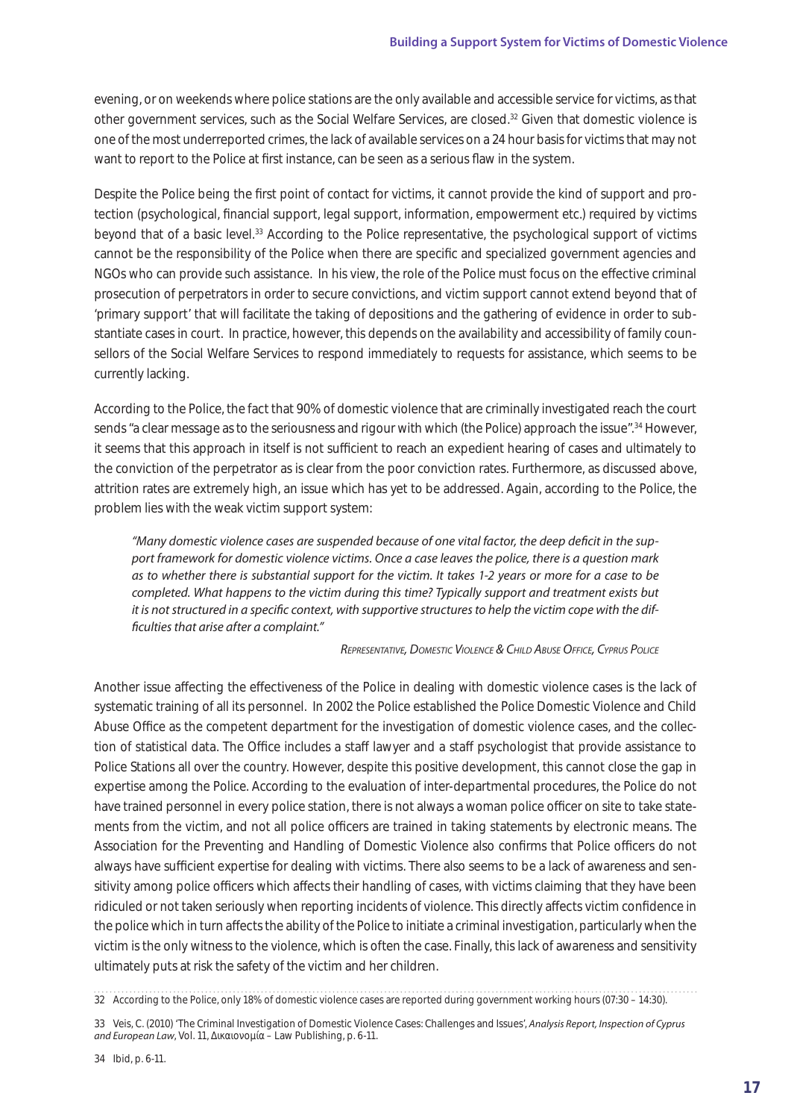evening, or on weekends where police stations are the only available and accessible service for victims, as that other government services, such as the Social Welfare Services, are closed.32 Given that domestic violence is one of the most underreported crimes, the lack of available services on a 24 hour basis for victims that may not want to report to the Police at first instance, can be seen as a serious flaw in the system.

Despite the Police being the first point of contact for victims, it cannot provide the kind of support and protection (psychological, financial support, legal support, information, empowerment etc.) required by victims beyond that of a basic level.33 According to the Police representative, the psychological support of victims cannot be the responsibility of the Police when there are specific and specialized government agencies and NGOs who can provide such assistance. In his view, the role of the Police must focus on the e ective criminal prosecution of perpetrators in order to secure convictions, and victim support cannot extend beyond that of 'primary support' that will facilitate the taking of depositions and the gathering of evidence in order to substantiate cases in court. In practice, however, this depends on the availability and accessibility of family counsellors of the Social Welfare Services to respond immediately to requests for assistance, which seems to be currently lacking.

According to the Police, the fact that 90% of domestic violence that are criminally investigated reach the court sends "a clear message as to the seriousness and rigour with which (the Police) approach the issue".<sup>34</sup> However, it seems that this approach in itself is not supposent to reach an expedient hearing of cases and ultimately to the conviction of the perpetrator as is clear from the poor conviction rates. Furthermore, as discussed above, attrition rates are extremely high, an issue which has yet to be addressed. Again, according to the Police, the problem lies with the weak victim support system:

*"Many domestic violence cases are suspended because of one vital factor, the deep deficit in the support framework for domestic violence victims. Once a case leaves the police, there is a question mark as to whether there is substantial support for the victim. It takes 1-2 years or more for a case to be completed. What happens to the victim during this time? Typically support and treatment exists but it is not structured in a specific context, with supportive structures to help the victim cope with the difficulties that arise after a complaint."* 

*Representative, Domestic Violence & Child Abuse Office, Cyprus Police*

Another issue a ecting the e ectiveness of the Police in dealing with domestic violence cases is the lack of systematic training of all its personnel. In 2002 the Police established the Police Domestic Violence and Child Abuse O ce as the competent department for the investigation of domestic violence cases, and the collection of statistical data. The O ce includes a sta lawyer and a sta psychologist that provide assistance to Police Stations all over the country. However, despite this positive development, this cannot close the gap in expertise among the Police. According to the evaluation of inter-departmental procedures, the Police do not have trained personnel in every police station, there is not always a woman police o cer on site to take statements from the victim, and not all police oers are trained in taking statements by electronic means. The Association for the Preventing and Handling of Domestic Violence also confirms that Police of cers do not always have su cient expertise for dealing with victims. There also seems to be a lack of awareness and sensitivity among police o cers which a ects their handling of cases, with victims claiming that they have been ridiculed or not taken seriously when reporting incidents of violence. This directly a ects victim confidence in the police which in turn a ects the ability of the Police to initiate a criminal investigation, particularly when the victim is the only witness to the violence, which is often the case. Finally, this lack of awareness and sensitivity ultimately puts at risk the safety of the victim and her children.

<sup>32</sup> According to the Police, only 18% of domestic violence cases are reported during government working hours (07:30 – 14:30).

<sup>33</sup> Veis, C. (2010) 'The Criminal Investigation of Domestic Violence Cases: Challenges and Issues', *Analysis Report, Inspection of Cyprus and European Law*, Vol. 11,  $\mu$  – Law Publishing, p. 6-11.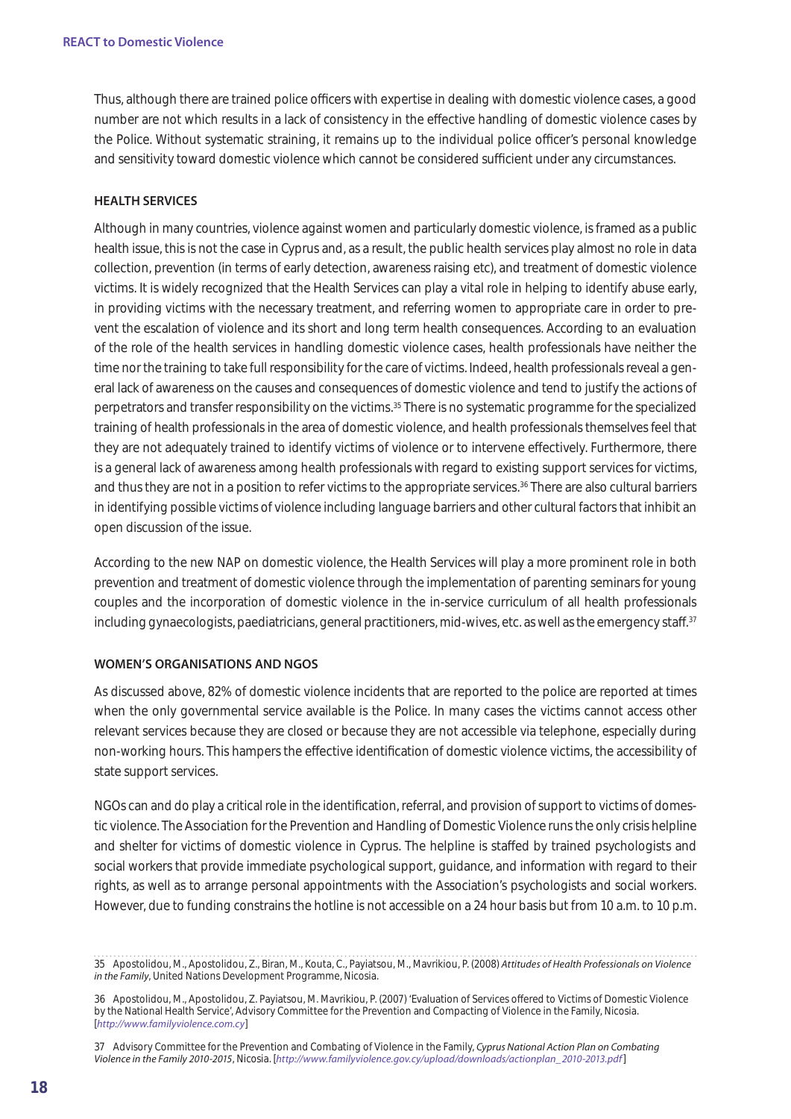Thus, although there are trained police oers with expertise in dealing with domestic violence cases, a good number are not which results in a lack of consistency in the eective handling of domestic violence cases by the Police. Without systematic straining, it remains up to the individual police of cer's personal knowledge and sensitivity toward domestic violence which cannot be considered sue cient under any circumstances.

#### **HEALTH SERVICES**

Although in many countries, violence against women and particularly domestic violence, is framed as a public health issue, this is not the case in Cyprus and, as a result, the public health services play almost no role in data collection, prevention (in terms of early detection, awareness raising etc), and treatment of domestic violence victims. It is widely recognized that the Health Services can play a vital role in helping to identify abuse early, in providing victims with the necessary treatment, and referring women to appropriate care in order to prevent the escalation of violence and its short and long term health consequences. According to an evaluation of the role of the health services in handling domestic violence cases, health professionals have neither the time nor the training to take full responsibility for the care of victims. Indeed, health professionals reveal a general lack of awareness on the causes and consequences of domestic violence and tend to justify the actions of perpetrators and transfer responsibility on the victims.35 There is no systematic programme for the specialized training of health professionals in the area of domestic violence, and health professionals themselves feel that they are not adequately trained to identify victims of violence or to intervene e ectively. Furthermore, there is a general lack of awareness among health professionals with regard to existing support services for victims, and thus they are not in a position to refer victims to the appropriate services.<sup>36</sup> There are also cultural barriers in identifying possible victims of violence including language barriers and other cultural factors that inhibit an open discussion of the issue.

According to the new NAP on domestic violence, the Health Services will play a more prominent role in both prevention and treatment of domestic violence through the implementation of parenting seminars for young couples and the incorporation of domestic violence in the in-service curriculum of all health professionals including gynaecologists, paediatricians, general practitioners, mid-wives, etc. as well as the emergency sta  $37$ 

#### **WOMEN'S ORGANISATIONS AND NGOS**

As discussed above, 82% of domestic violence incidents that are reported to the police are reported at times when the only governmental service available is the Police. In many cases the victims cannot access other relevant services because they are closed or because they are not accessible via telephone, especially during non-working hours. This hampers the e ective identification of domestic violence victims, the accessibility of state support services.

NGOs can and do play a critical role in the identification, referral, and provision of support to victims of domestic violence. The Association for the Prevention and Handling of Domestic Violence runs the only crisis helpline and shelter for victims of domestic violence in Cyprus. The helpline is sta ed by trained psychologists and social workers that provide immediate psychological support, guidance, and information with regard to their rights, as well as to arrange personal appointments with the Association's psychologists and social workers. However, due to funding constrains the hotline is not accessible on a 24 hour basis but from 10 a.m. to 10 p.m.

<sup>35</sup> Apostolidou, M., Apostolidou, Z., Biran, M., Kouta, C., Payiatsou, M., Mavrikiou, P. (2008) *Attitudes of Health Professionals on Violence in the Family*, United Nations Development Programme, Nicosia.

<sup>36</sup> Apostolidou, M., Apostolidou, Z. Payiatsou, M. Mavrikiou, P. (2007) 'Evaluation of Services o ered to Victims of Domestic Violence by the National Health Service', Advisory Committee for the Prevention and Compacting of Violence in the Family, Nicosia. [*http://www.familyviolence.com.cy*]

<sup>37</sup> Advisory Committee for the Prevention and Combating of Violence in the Family, *Cyprus National Action Plan on Combating Violence in the Family 2010-2015*, Nicosia. [*http://www.familyviolence.gov.cy/upload/downloads/actionplan\_2010-2013.pdf*]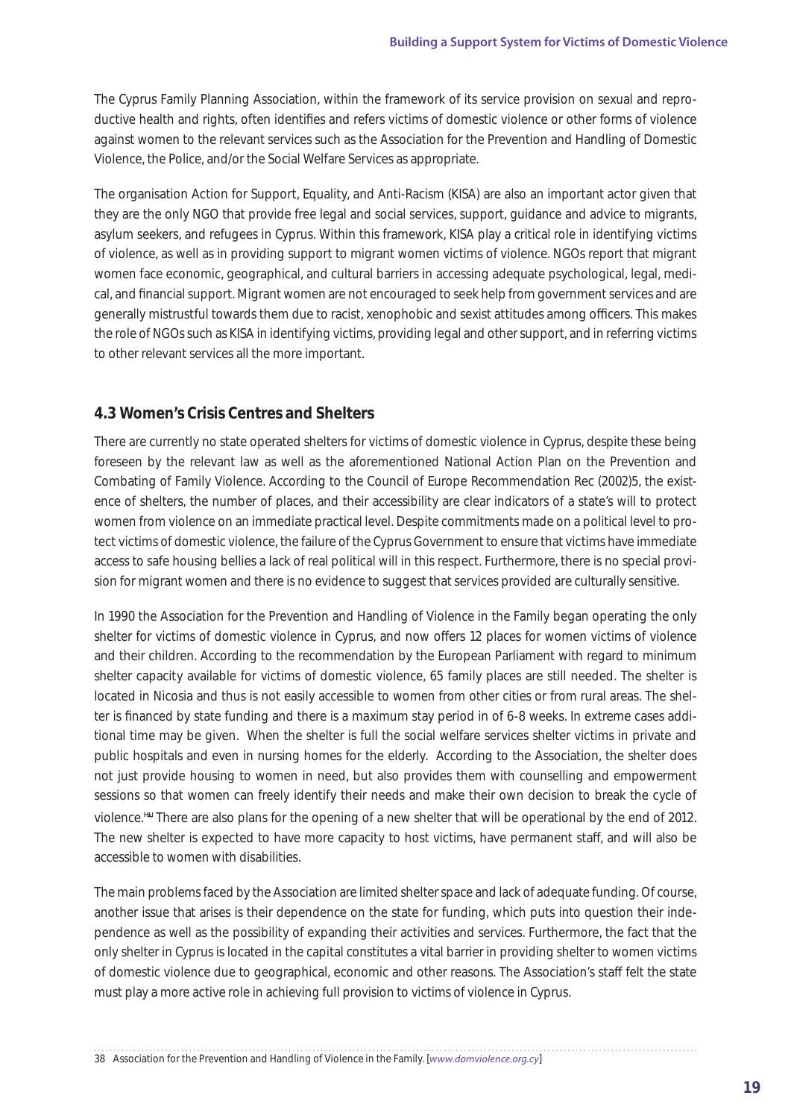The Cyprus Family Planning Association, within the framework of its service provision on sexual and reproductive health and rights, often identifies and refers victims of domestic violence or other forms of violence against women to the relevant services such as the Association for the Prevention and Handling of Domestic Violence, the Police, and/or the Social Welfare Services as appropriate.

The organisation Action for Support, Equality, and Anti-Racism (KISA) are also an important actor given that they are the only NGO that provide free legal and social services, support, guidance and advice to migrants, asylum seekers, and refugees in Cyprus. Within this framework, KISA play a critical role in identifying victims of violence, as well as in providing support to migrant women victims of violence. NGOs report that migrant women face economic, geographical, and cultural barriers in accessing adequate psychological, legal, medical, and financial support. Migrant women are not encouraged to seek help from government services and are generally mistrustful towards them due to racist, xenophobic and sexist attitudes among o cers. This makes the role of NGOs such as KISA in identifying victims, providing legal and other support, and in referring victims to other relevant services all the more important.

# **4.3 Women's Crisis Centres and Shelters**

There are currently no state operated shelters for victims of domestic violence in Cyprus, despite these being foreseen by the relevant law as well as the aforementioned National Action Plan on the Prevention and Combating of Family Violence. According to the Council of Europe Recommendation Rec (2002)5, the existence of shelters, the number of places, and their accessibility are clear indicators of a state's will to protect women from violence on an immediate practical level. Despite commitments made on a political level to protect victims of domestic violence, the failure of the Cyprus Government to ensure that victims have immediate access to safe housing bellies a lack of real political will in this respect. Furthermore, there is no special provision for migrant women and there is no evidence to suggest that services provided are culturally sensitive.

In 1990 the Association for the Prevention and Handling of Violence in the Family began operating the only shelter for victims of domestic violence in Cyprus, and now o ers 12 places for women victims of violence and their children. According to the recommendation by the European Parliament with regard to minimum shelter capacity available for victims of domestic violence, 65 family places are still needed. The shelter is located in Nicosia and thus is not easily accessible to women from other cities or from rural areas. The shelter is financed by state funding and there is a maximum stay period in of 6-8 weeks. In extreme cases additional time may be given. When the shelter is full the social welfare services shelter victims in private and public hospitals and even in nursing homes for the elderly. According to the Association, the shelter does not just provide housing to women in need, but also provides them with counselling and empowerment sessions so that women can freely identify their needs and make their own decision to break the cycle of violence.<sup>38</sup> There are also plans for the opening of a new shelter that will be operational by the end of 2012. The new shelter is expected to have more capacity to host victims, have permanent sta, and will also be accessible to women with disabilities.

The main problems faced by the Association are limited shelter space and lack of adequate funding. Of course, another issue that arises is their dependence on the state for funding, which puts into question their independence as well as the possibility of expanding their activities and services. Furthermore, the fact that the only shelter in Cyprus is located in the capital constitutes a vital barrier in providing shelter to women victims of domestic violence due to geographical, economic and other reasons. The Association's sta felt the state must play a more active role in achieving full provision to victims of violence in Cyprus.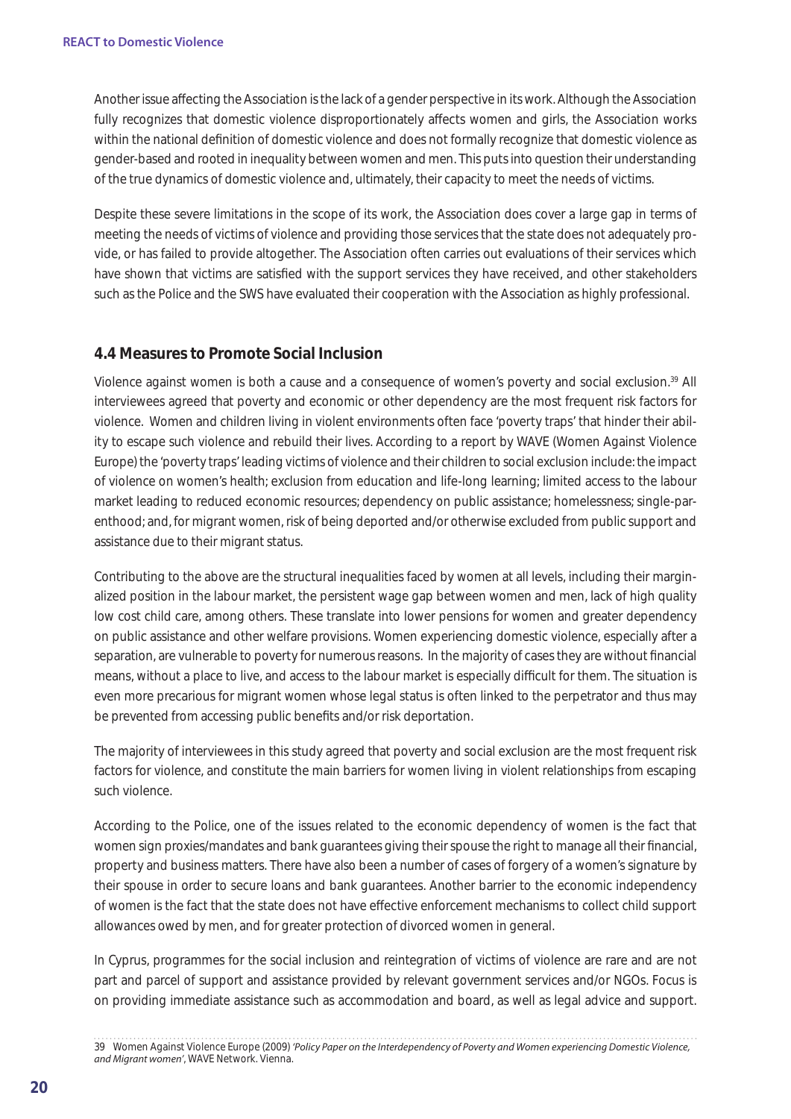Another issue a ecting the Association is the lack of a gender perspective in its work. Although the Association fully recognizes that domestic violence disproportionately a ects women and girls, the Association works within the national definition of domestic violence and does not formally recognize that domestic violence as gender-based and rooted in inequality between women and men. This puts into question their understanding of the true dynamics of domestic violence and, ultimately, their capacity to meet the needs of victims.

Despite these severe limitations in the scope of its work, the Association does cover a large gap in terms of meeting the needs of victims of violence and providing those services that the state does not adequately provide, or has failed to provide altogether. The Association often carries out evaluations of their services which have shown that victims are satisfied with the support services they have received, and other stakeholders such as the Police and the SWS have evaluated their cooperation with the Association as highly professional.

# **4.4 Measures to Promote Social Inclusion**

Violence against women is both a cause and a consequence of women's poverty and social exclusion.39 All interviewees agreed that poverty and economic or other dependency are the most frequent risk factors for violence. Women and children living in violent environments often face 'poverty traps' that hinder their ability to escape such violence and rebuild their lives. According to a report by WAVE (Women Against Violence Europe) the 'poverty traps' leading victims of violence and their children to social exclusion include: the impact of violence on women's health; exclusion from education and life-long learning; limited access to the labour market leading to reduced economic resources; dependency on public assistance; homelessness; single-parenthood; and, for migrant women, risk of being deported and/or otherwise excluded from public support and assistance due to their migrant status.

Contributing to the above are the structural inequalities faced by women at all levels, including their marginalized position in the labour market, the persistent wage gap between women and men, lack of high quality low cost child care, among others. These translate into lower pensions for women and greater dependency on public assistance and other welfare provisions. Women experiencing domestic violence, especially after a separation, are vulnerable to poverty for numerous reasons. In the majority of cases they are without financial means, without a place to live, and access to the labour market is especially di cult for them. The situation is even more precarious for migrant women whose legal status is often linked to the perpetrator and thus may be prevented from accessing public benefits and/or risk deportation.

The majority of interviewees in this study agreed that poverty and social exclusion are the most frequent risk factors for violence, and constitute the main barriers for women living in violent relationships from escaping such violence.

According to the Police, one of the issues related to the economic dependency of women is the fact that women sign proxies/mandates and bank guarantees giving their spouse the right to manage all their financial, property and business matters. There have also been a number of cases of forgery of a women's signature by their spouse in order to secure loans and bank guarantees. Another barrier to the economic independency of women is the fact that the state does not have elective enforcement mechanisms to collect child support allowances owed by men, and for greater protection of divorced women in general.

In Cyprus, programmes for the social inclusion and reintegration of victims of violence are rare and are not part and parcel of support and assistance provided by relevant government services and/or NGOs. Focus is on providing immediate assistance such as accommodation and board, as well as legal advice and support.

<sup>39</sup> Women Against Violence Europe (2009) *'Policy Paper on the Interdependency of Poverty and Women experiencing Domestic Violence, and Migrant women'*, WAVE Network. Vienna.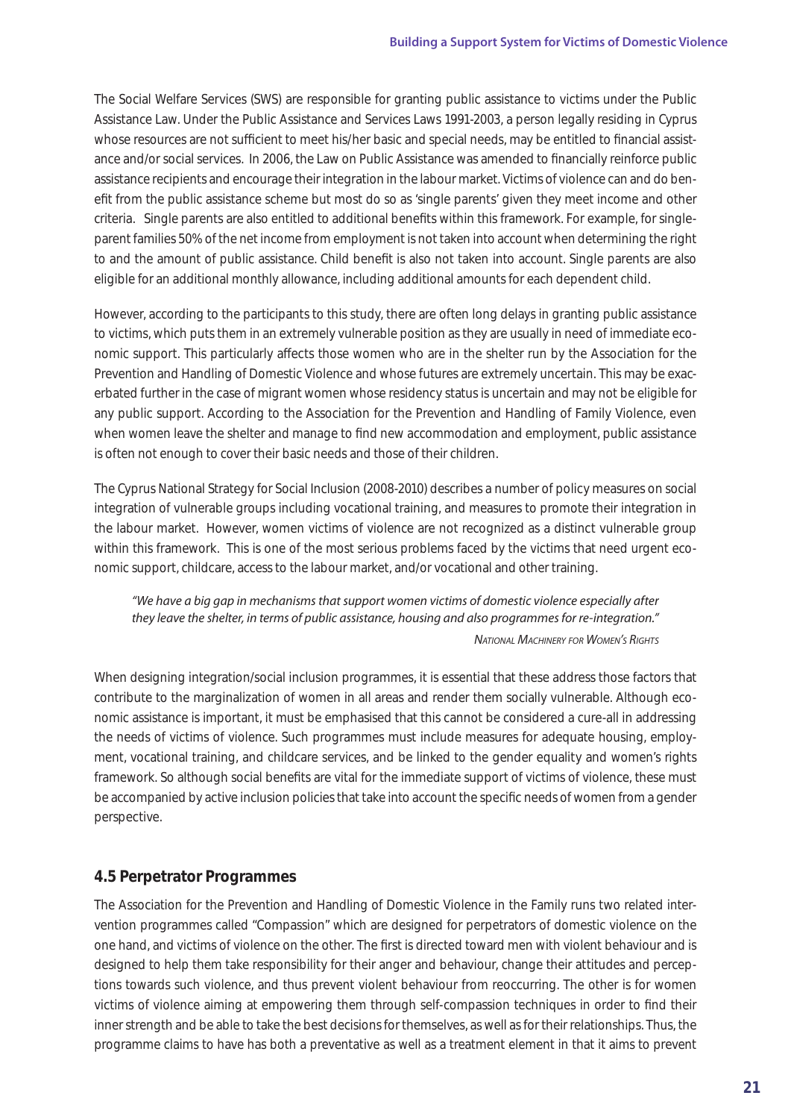The Social Welfare Services (SWS) are responsible for granting public assistance to victims under the Public Assistance Law. Under the Public Assistance and Services Laws 1991-2003, a person legally residing in Cyprus whose resources are not su cient to meet his/her basic and special needs, may be entitled to financial assistance and/or social services. In 2006, the Law on Public Assistance was amended to financially reinforce public assistance recipients and encourage their integration in the labour market. Victims of violence can and do benefit from the public assistance scheme but most do so as 'single parents' given they meet income and other criteria. Single parents are also entitled to additional benefits within this framework. For example, for singleparent families 50% of the net income from employment is not taken into account when determining the right to and the amount of public assistance. Child benefit is also not taken into account. Single parents are also eligible for an additional monthly allowance, including additional amounts for each dependent child.

However, according to the participants to this study, there are often long delays in granting public assistance to victims, which puts them in an extremely vulnerable position as they are usually in need of immediate economic support. This particularly a ects those women who are in the shelter run by the Association for the Prevention and Handling of Domestic Violence and whose futures are extremely uncertain. This may be exacerbated further in the case of migrant women whose residency status is uncertain and may not be eligible for any public support. According to the Association for the Prevention and Handling of Family Violence, even when women leave the shelter and manage to find new accommodation and employment, public assistance is often not enough to cover their basic needs and those of their children.

The Cyprus National Strategy for Social Inclusion (2008-2010) describes a number of policy measures on social integration of vulnerable groups including vocational training, and measures to promote their integration in the labour market. However, women victims of violence are not recognized as a distinct vulnerable group within this framework. This is one of the most serious problems faced by the victims that need urgent economic support, childcare, access to the labour market, and/or vocational and other training.

*"We have a big gap in mechanisms that support women victims of domestic violence especially after they leave the shelter, in terms of public assistance, housing and also programmes for re-integration." National Machinery for Women's Rights*

When designing integration/social inclusion programmes, it is essential that these address those factors that contribute to the marginalization of women in all areas and render them socially vulnerable. Although economic assistance is important, it must be emphasised that this cannot be considered a cure-all in addressing the needs of victims of violence. Such programmes must include measures for adequate housing, employment, vocational training, and childcare services, and be linked to the gender equality and women's rights framework. So although social benefits are vital for the immediate support of victims of violence, these must be accompanied by active inclusion policies that take into account the specific needs of women from a gender perspective.

# **4.5 Perpetrator Programmes**

The Association for the Prevention and Handling of Domestic Violence in the Family runs two related intervention programmes called "Compassion" which are designed for perpetrators of domestic violence on the one hand, and victims of violence on the other. The first is directed toward men with violent behaviour and is designed to help them take responsibility for their anger and behaviour, change their attitudes and perceptions towards such violence, and thus prevent violent behaviour from reoccurring. The other is for women victims of violence aiming at empowering them through self-compassion techniques in order to find their inner strength and be able to take the best decisions for themselves, as well as for their relationships. Thus, the programme claims to have has both a preventative as well as a treatment element in that it aims to prevent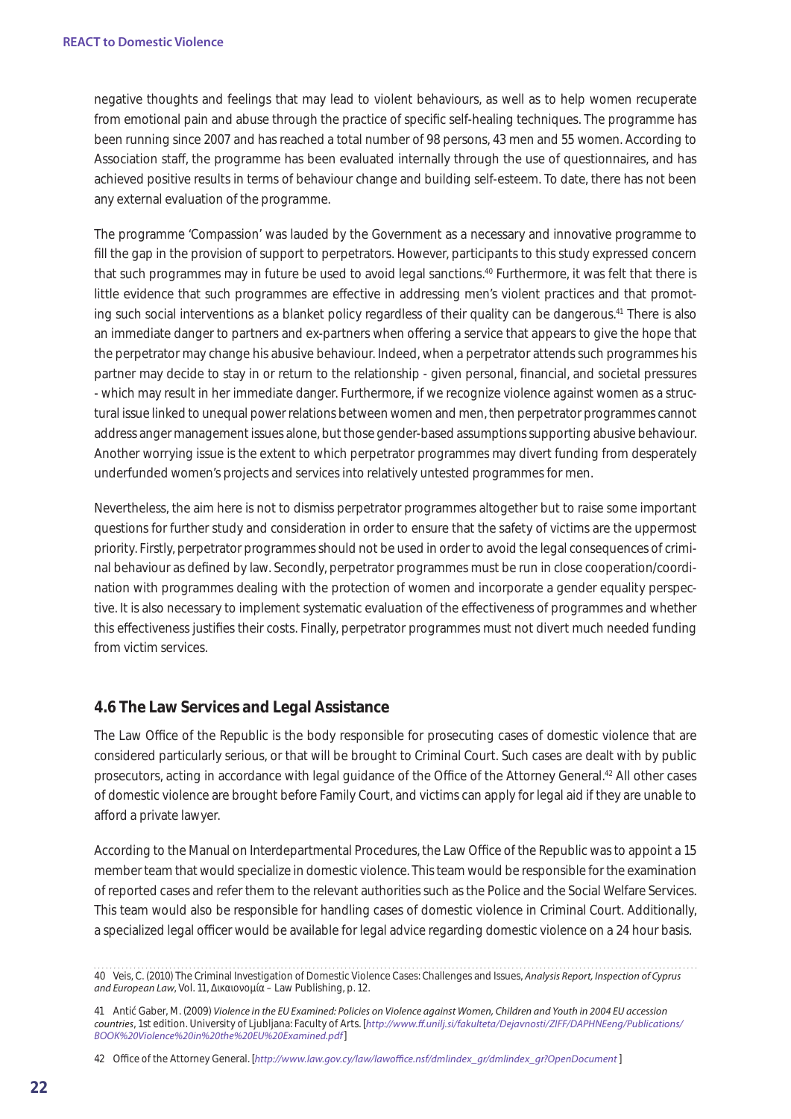negative thoughts and feelings that may lead to violent behaviours, as well as to help women recuperate from emotional pain and abuse through the practice of specific self-healing techniques. The programme has been running since 2007 and has reached a total number of 98 persons, 43 men and 55 women. According to Association sta, the programme has been evaluated internally through the use of questionnaires, and has achieved positive results in terms of behaviour change and building self-esteem. To date, there has not been any external evaluation of the programme.

The programme 'Compassion' was lauded by the Government as a necessary and innovative programme to fill the gap in the provision of support to perpetrators. However, participants to this study expressed concern that such programmes may in future be used to avoid legal sanctions.40 Furthermore, it was felt that there is little evidence that such programmes are e ective in addressing men's violent practices and that promoting such social interventions as a blanket policy regardless of their quality can be dangerous.41 There is also an immediate danger to partners and ex-partners when o ering a service that appears to give the hope that the perpetrator may change his abusive behaviour. Indeed, when a perpetrator attends such programmes his partner may decide to stay in or return to the relationship - given personal, financial, and societal pressures - which may result in her immediate danger. Furthermore, if we recognize violence against women as a structural issue linked to unequal power relations between women and men, then perpetrator programmes cannot address anger management issues alone, but those gender-based assumptions supporting abusive behaviour. Another worrying issue is the extent to which perpetrator programmes may divert funding from desperately underfunded women's projects and services into relatively untested programmes for men.

Nevertheless, the aim here is not to dismiss perpetrator programmes altogether but to raise some important questions for further study and consideration in order to ensure that the safety of victims are the uppermost priority. Firstly, perpetrator programmes should not be used in order to avoid the legal consequences of criminal behaviour as defined by law. Secondly, perpetrator programmes must be run in close cooperation/coordination with programmes dealing with the protection of women and incorporate a gender equality perspective. It is also necessary to implement systematic evaluation of the  $e$  ectiveness of programmes and whether this eectiveness justifies their costs. Finally, perpetrator programmes must not divert much needed funding from victim services.

# **4.6 The Law Services and Legal Assistance**

The Law O ce of the Republic is the body responsible for prosecuting cases of domestic violence that are considered particularly serious, or that will be brought to Criminal Court. Such cases are dealt with by public prosecutors, acting in accordance with legal guidance of the O ce of the Attorney General.<sup>42</sup> All other cases of domestic violence are brought before Family Court, and victims can apply for legal aid if they are unable to a ord a private lawyer.

According to the Manual on Interdepartmental Procedures, the Law O ce of the Republic was to appoint a 15 member team that would specialize in domestic violence. This team would be responsible for the examination of reported cases and refer them to the relevant authorities such as the Police and the Social Welfare Services. This team would also be responsible for handling cases of domestic violence in Criminal Court. Additionally, a specialized legal offer would be available for legal advice regarding domestic violence on a 24 hour basis.

42 O ce of the Attorney General. [*http://www.law.gov.cy/law/lawoffice.nsf/dmlindex\_gr/dmlindex\_gr?OpenDocument* ]

<sup>40</sup> Veis, C. (2010) The Criminal Investigation of Domestic Violence Cases: Challenges and Issues, *Analysis Report, Inspection of Cyprus and European Law*, Vol. 11,  $\mu$  – Law Publishing, p. 12.

<sup>41</sup> Antić Gaber, M. (2009) *Violence in the EU Examined: Policies on Violence against Women, Children and Youth in 2004 EU accession countries*, 1st edition. University of Ljubljana: Faculty of Arts. [*http://www.ff.unilj.si/fakulteta/Dejavnosti/ZIFF/DAPHNEeng/Publications/ BOOK%20Violence%20in%20the%20EU%20Examined.pdf*]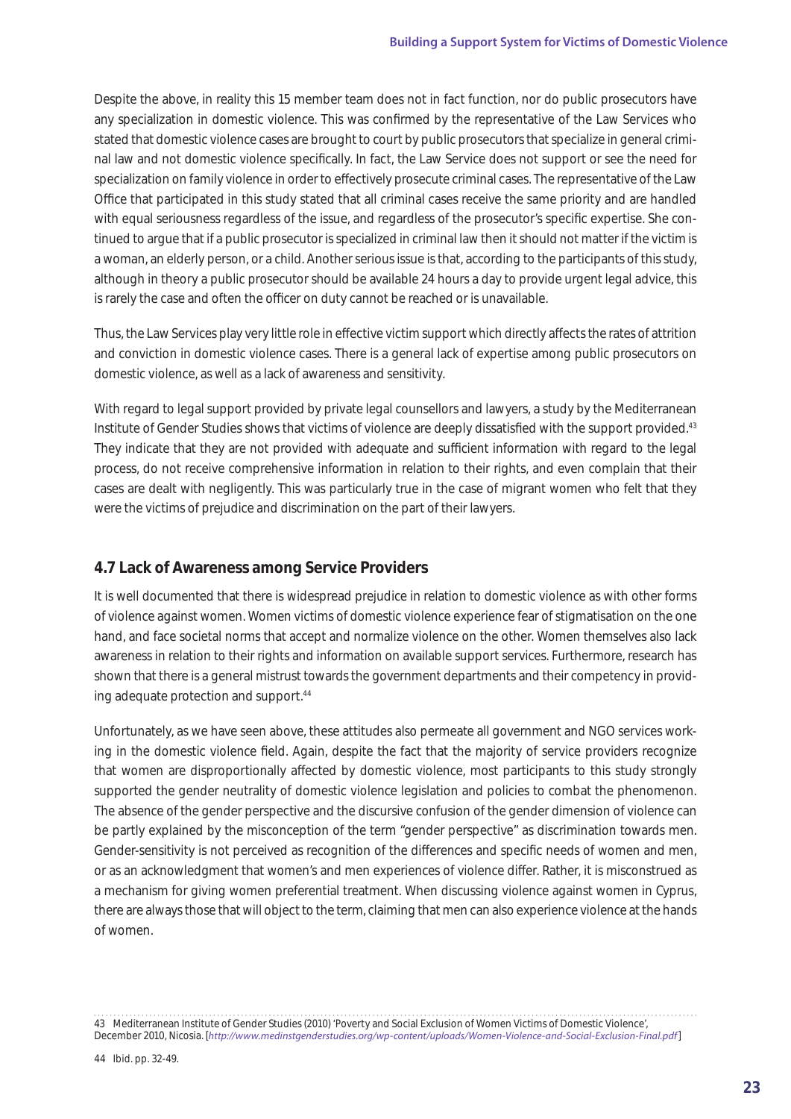Despite the above, in reality this 15 member team does not in fact function, nor do public prosecutors have any specialization in domestic violence. This was confirmed by the representative of the Law Services who stated that domestic violence cases are brought to court by public prosecutors that specialize in general criminal law and not domestic violence specifically. In fact, the Law Service does not support or see the need for specialization on family violence in order to e ectively prosecute criminal cases. The representative of the Law O ce that participated in this study stated that all criminal cases receive the same priority and are handled with equal seriousness regardless of the issue, and regardless of the prosecutor's specific expertise. She continued to argue that if a public prosecutor is specialized in criminal law then it should not matter if the victim is a woman, an elderly person, or a child. Another serious issue is that, according to the participants of this study, although in theory a public prosecutor should be available 24 hours a day to provide urgent legal advice, this is rarely the case and often the o cer on duty cannot be reached or is unavailable.

Thus, the Law Services play very little role in  $e$  ective victim support which directly a ects the rates of attrition and conviction in domestic violence cases. There is a general lack of expertise among public prosecutors on domestic violence, as well as a lack of awareness and sensitivity.

With regard to legal support provided by private legal counsellors and lawyers, a study by the Mediterranean Institute of Gender Studies shows that victims of violence are deeply dissatisfied with the support provided.<sup>43</sup> They indicate that they are not provided with adequate and su cient information with regard to the legal process, do not receive comprehensive information in relation to their rights, and even complain that their cases are dealt with negligently. This was particularly true in the case of migrant women who felt that they were the victims of prejudice and discrimination on the part of their lawyers.

# **4.7 Lack of Awareness among Service Providers**

It is well documented that there is widespread prejudice in relation to domestic violence as with other forms of violence against women. Women victims of domestic violence experience fear of stigmatisation on the one hand, and face societal norms that accept and normalize violence on the other. Women themselves also lack awareness in relation to their rights and information on available support services. Furthermore, research has shown that there is a general mistrust towards the government departments and their competency in providing adequate protection and support.44

Unfortunately, as we have seen above, these attitudes also permeate all government and NGO services working in the domestic violence field. Again, despite the fact that the majority of service providers recognize that women are disproportionally a ected by domestic violence, most participants to this study strongly supported the gender neutrality of domestic violence legislation and policies to combat the phenomenon. The absence of the gender perspective and the discursive confusion of the gender dimension of violence can be partly explained by the misconception of the term "gender perspective" as discrimination towards men. Gender-sensitivity is not perceived as recognition of the dieferences and specific needs of women and men, or as an acknowledgment that women's and men experiences of violence dier. Rather, it is misconstrued as a mechanism for giving women preferential treatment. When discussing violence against women in Cyprus, there are always those that will object to the term, claiming that men can also experience violence at the hands of women.

<sup>43</sup> Mediterranean Institute of Gender Studies (2010) 'Poverty and Social Exclusion of Women Victims of Domestic Violence', December 2010, Nicosia. [*http://www.medinstgenderstudies.org/wp-content/uploads/Women-Violence-and-Social-Exclusion-Final.pdf*]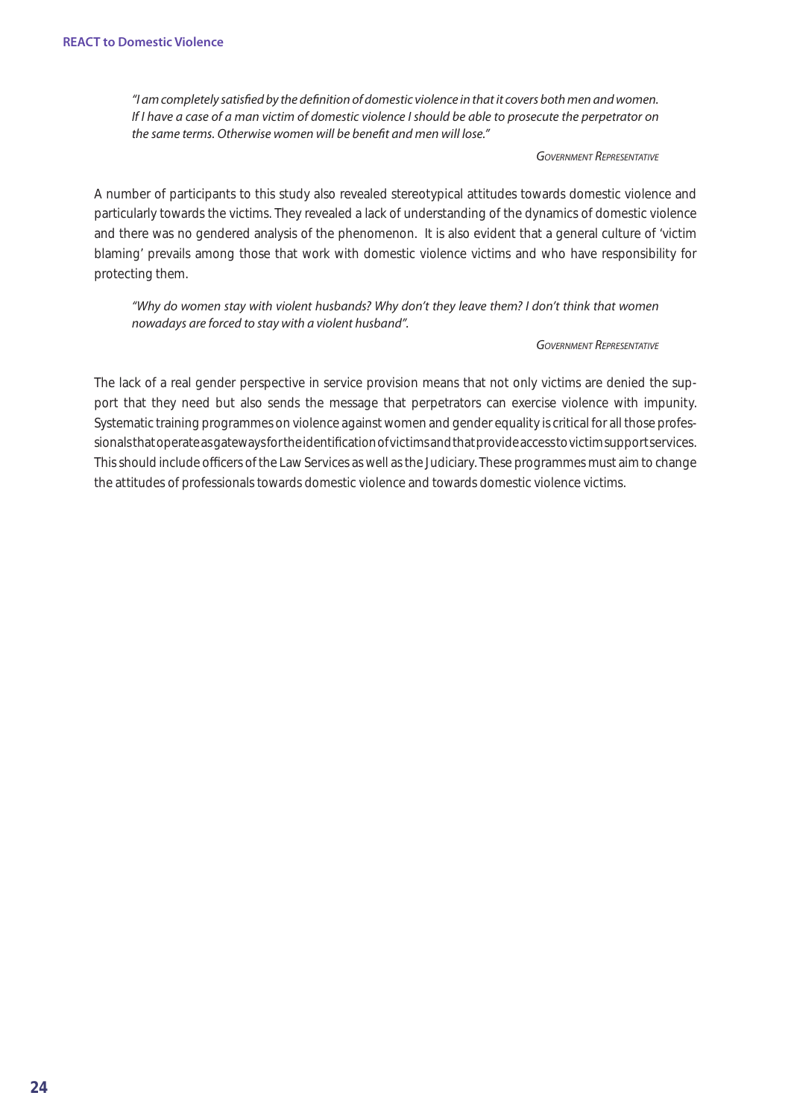*"I am completely satisfied by the definition of domestic violence in that it covers both men and women. If I have a case of a man victim of domestic violence I should be able to prosecute the perpetrator on the same terms. Otherwise women will be benefit and men will lose."*

#### *Government Representative*

A number of participants to this study also revealed stereotypical attitudes towards domestic violence and particularly towards the victims. They revealed a lack of understanding of the dynamics of domestic violence and there was no gendered analysis of the phenomenon. It is also evident that a general culture of 'victim blaming' prevails among those that work with domestic violence victims and who have responsibility for protecting them.

*"Why do women stay with violent husbands? Why don't they leave them? I don't think that women nowadays are forced to stay with a violent husband".*

#### *Government Representative*

The lack of a real gender perspective in service provision means that not only victims are denied the support that they need but also sends the message that perpetrators can exercise violence with impunity. Systematic training programmes on violence against women and gender equality is critical for all those professionals that operate as gateways for the identification of victims and that provide access to victim support services. This should include oecers of the Law Services as well as the Judiciary. These programmes must aim to change the attitudes of professionals towards domestic violence and towards domestic violence victims.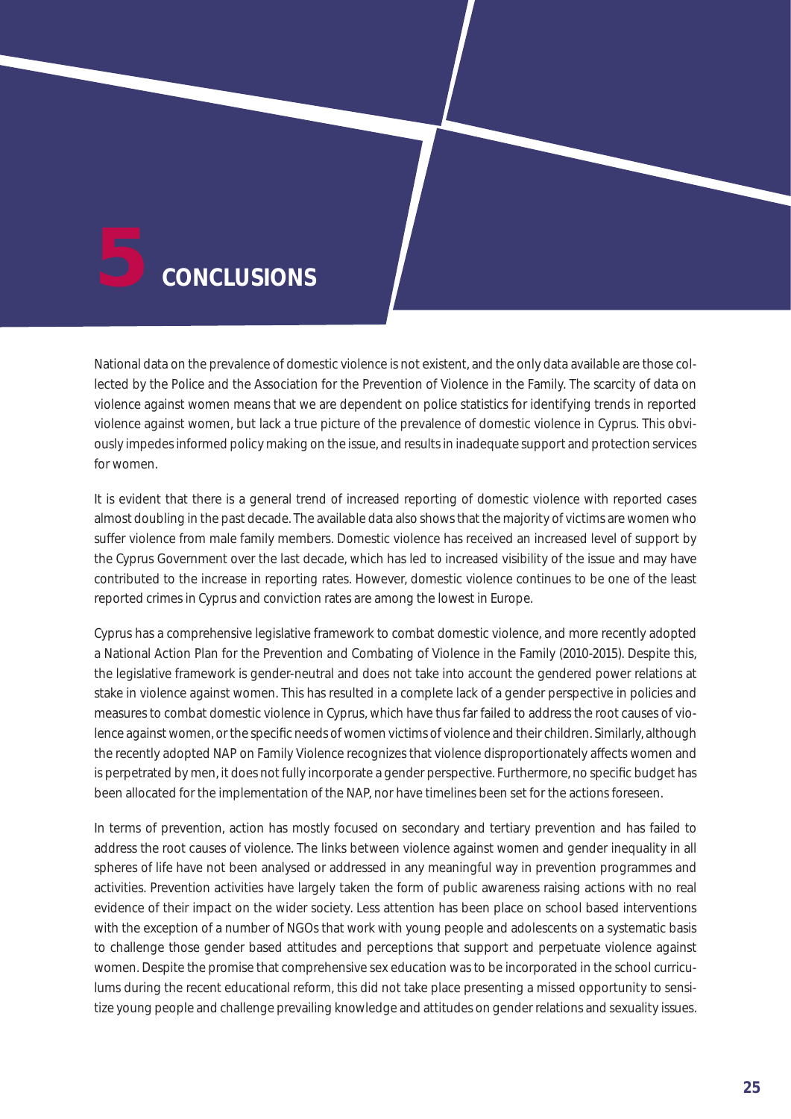

National data on the prevalence of domestic violence is not existent, and the only data available are those collected by the Police and the Association for the Prevention of Violence in the Family. The scarcity of data on violence against women means that we are dependent on police statistics for identifying trends in reported violence against women, but lack a true picture of the prevalence of domestic violence in Cyprus. This obviously impedes informed policy making on the issue, and results in inadequate support and protection services for women.

It is evident that there is a general trend of increased reporting of domestic violence with reported cases almost doubling in the past decade. The available data also shows that the majority of victims are women who su er violence from male family members. Domestic violence has received an increased level of support by the Cyprus Government over the last decade, which has led to increased visibility of the issue and may have contributed to the increase in reporting rates. However, domestic violence continues to be one of the least reported crimes in Cyprus and conviction rates are among the lowest in Europe.

Cyprus has a comprehensive legislative framework to combat domestic violence, and more recently adopted a National Action Plan for the Prevention and Combating of Violence in the Family (2010-2015). Despite this, the legislative framework is gender-neutral and does not take into account the gendered power relations at stake in violence against women. This has resulted in a complete lack of a gender perspective in policies and measures to combat domestic violence in Cyprus, which have thus far failed to address the root causes of violence against women, or the specific needs of women victims of violence and their children. Similarly, although the recently adopted NAP on Family Violence recognizes that violence disproportionately a ects women and is perpetrated by men, it does not fully incorporate a gender perspective. Furthermore, no specific budget has been allocated for the implementation of the NAP, nor have timelines been set for the actions foreseen.

In terms of prevention, action has mostly focused on secondary and tertiary prevention and has failed to address the root causes of violence. The links between violence against women and gender inequality in all spheres of life have not been analysed or addressed in any meaningful way in prevention programmes and activities. Prevention activities have largely taken the form of public awareness raising actions with no real evidence of their impact on the wider society. Less attention has been place on school based interventions with the exception of a number of NGOs that work with young people and adolescents on a systematic basis to challenge those gender based attitudes and perceptions that support and perpetuate violence against women. Despite the promise that comprehensive sex education was to be incorporated in the school curriculums during the recent educational reform, this did not take place presenting a missed opportunity to sensitize young people and challenge prevailing knowledge and attitudes on gender relations and sexuality issues.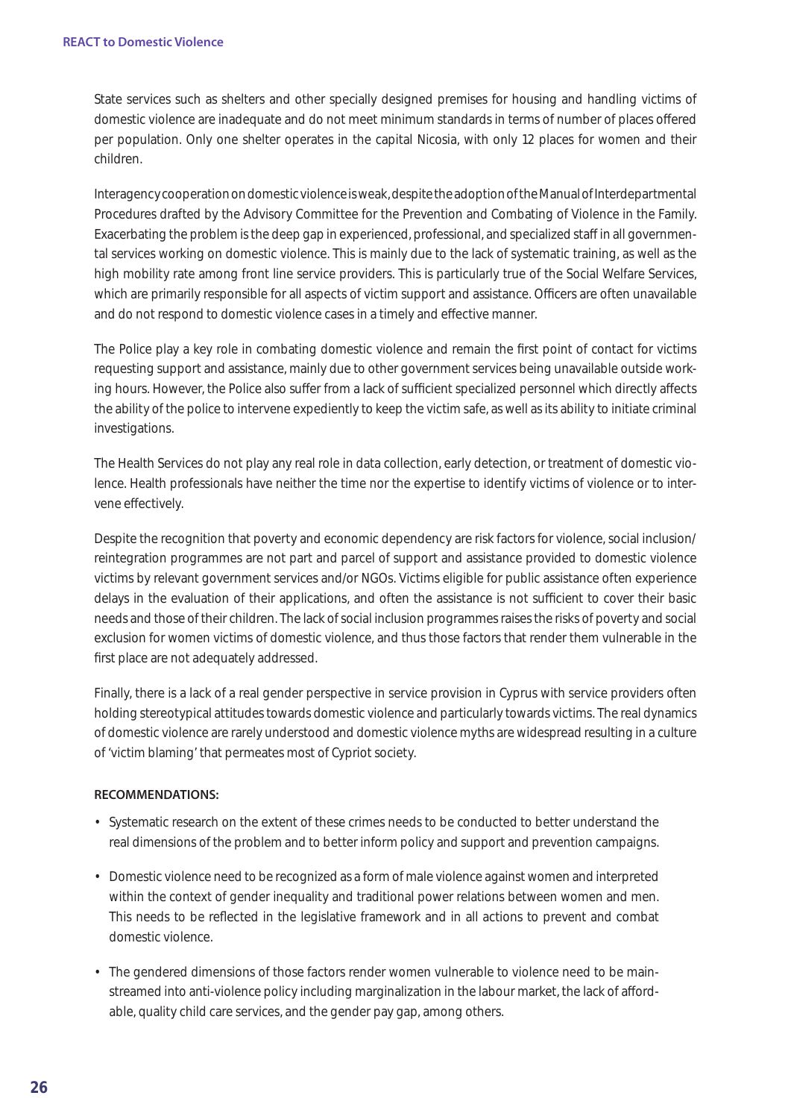State services such as shelters and other specially designed premises for housing and handling victims of domestic violence are inadequate and do not meet minimum standards in terms of number of places of ered per population. Only one shelter operates in the capital Nicosia, with only 12 places for women and their children.

Interagency cooperation on domestic violence is weak, despite the adoption of the Manual of Interdepartmental Procedures drafted by the Advisory Committee for the Prevention and Combating of Violence in the Family. Exacerbating the problem is the deep gap in experienced, professional, and specialized sta in all governmental services working on domestic violence. This is mainly due to the lack of systematic training, as well as the high mobility rate among front line service providers. This is particularly true of the Social Welfare Services, which are primarily responsible for all aspects of victim support and assistance. O cers are often unavailable and do not respond to domestic violence cases in a timely and e ective manner.

The Police play a key role in combating domestic violence and remain the first point of contact for victims requesting support and assistance, mainly due to other government services being unavailable outside working hours. However, the Police also super from a lack of superior specialized personnel which directly a ects the ability of the police to intervene expediently to keep the victim safe, as well as its ability to initiate criminal investigations.

The Health Services do not play any real role in data collection, early detection, or treatment of domestic violence. Health professionals have neither the time nor the expertise to identify victims of violence or to intervene e ectively.

Despite the recognition that poverty and economic dependency are risk factors for violence, social inclusion/ reintegration programmes are not part and parcel of support and assistance provided to domestic violence victims by relevant government services and/or NGOs. Victims eligible for public assistance often experience delays in the evaluation of their applications, and often the assistance is not sue cient to cover their basic needs and those of their children. The lack of social inclusion programmes raises the risks of poverty and social exclusion for women victims of domestic violence, and thus those factors that render them vulnerable in the first place are not adequately addressed.

Finally, there is a lack of a real gender perspective in service provision in Cyprus with service providers often holding stereotypical attitudes towards domestic violence and particularly towards victims. The real dynamics of domestic violence are rarely understood and domestic violence myths are widespread resulting in a culture of 'victim blaming' that permeates most of Cypriot society.

#### **RECOMMENDATIONS:**

- Systematic research on the extent of these crimes needs to be conducted to better understand the real dimensions of the problem and to better inform policy and support and prevention campaigns.
- Domestic violence need to be recognized as a form of male violence against women and interpreted within the context of gender inequality and traditional power relations between women and men. This needs to be reflected in the legislative framework and in all actions to prevent and combat domestic violence.
- The gendered dimensions of those factors render women vulnerable to violence need to be mainstreamed into anti-violence policy including marginalization in the labour market, the lack of a ordable, quality child care services, and the gender pay gap, among others.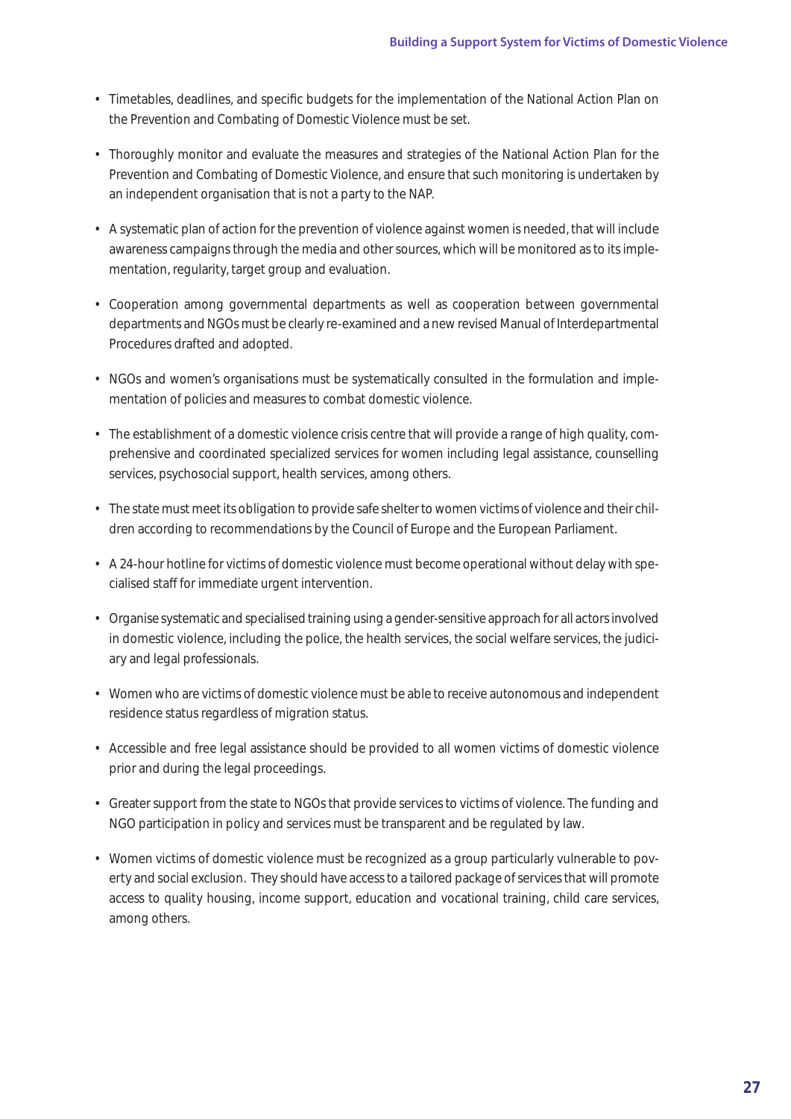- Timetables, deadlines, and specific budgets for the implementation of the National Action Plan on the Prevention and Combating of Domestic Violence must be set.
- Thoroughly monitor and evaluate the measures and strategies of the National Action Plan for the Prevention and Combating of Domestic Violence, and ensure that such monitoring is undertaken by an independent organisation that is not a party to the NAP.
- A systematic plan of action for the prevention of violence against women is needed, that will include awareness campaigns through the media and other sources, which will be monitored as to its implementation, regularity, target group and evaluation.
- Cooperation among governmental departments as well as cooperation between governmental departments and NGOs must be clearly re-examined and a new revised Manual of Interdepartmental Procedures drafted and adopted.
- NGOs and women's organisations must be systematically consulted in the formulation and implementation of policies and measures to combat domestic violence.
- The establishment of a domestic violence crisis centre that will provide a range of high quality, comprehensive and coordinated specialized services for women including legal assistance, counselling services, psychosocial support, health services, among others.
- The state must meet its obligation to provide safe shelter to women victims of violence and their children according to recommendations by the Council of Europe and the European Parliament.
- A 24-hour hotline for victims of domestic violence must become operational without delay with specialised sta for immediate urgent intervention.
- Organise systematic and specialised training using a gender-sensitive approach for all actors involved in domestic violence, including the police, the health services, the social welfare services, the judiciary and legal professionals.
- Women who are victims of domestic violence must be able to receive autonomous and independent residence status regardless of migration status.
- Accessible and free legal assistance should be provided to all women victims of domestic violence prior and during the legal proceedings.
- Greater support from the state to NGOs that provide services to victims of violence. The funding and NGO participation in policy and services must be transparent and be regulated by law.
- Women victims of domestic violence must be recognized as a group particularly vulnerable to poverty and social exclusion. They should have access to a tailored package of services that will promote access to quality housing, income support, education and vocational training, child care services, among others.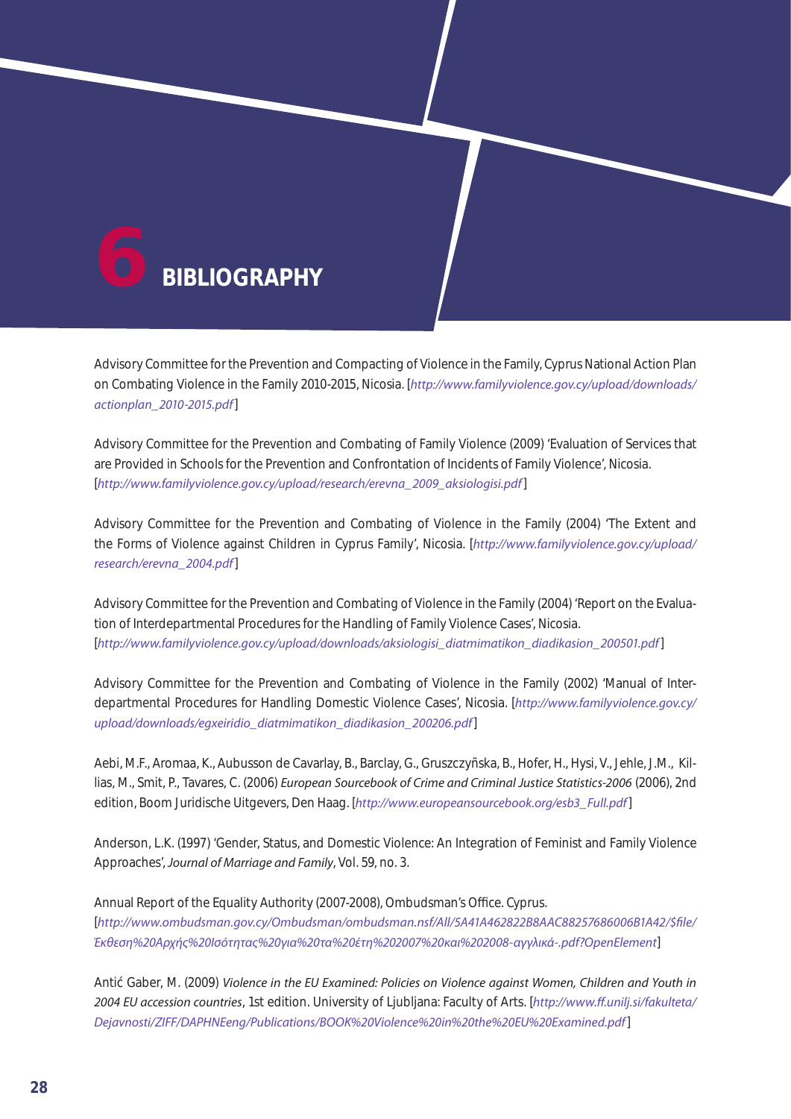

Advisory Committee for the Prevention and Compacting of Violence in the Family, Cyprus National Action Plan on Combating Violence in the Family 2010-2015, Nicosia. [*http://www.familyviolence.gov.cy/upload/downloads/ actionplan\_2010-2015.pdf*]

Advisory Committee for the Prevention and Combating of Family Violence (2009) 'Evaluation of Services that are Provided in Schools for the Prevention and Confrontation of Incidents of Family Violence', Nicosia. [*http://www.familyviolence.gov.cy/upload/research/erevna\_2009\_aksiologisi.pdf*]

Advisory Committee for the Prevention and Combating of Violence in the Family (2004) 'The Extent and the Forms of Violence against Children in Cyprus Family', Nicosia. [*http://www.familyviolence.gov.cy/upload/ research/erevna\_2004.pdf*]

Advisory Committee for the Prevention and Combating of Violence in the Family (2004) 'Report on the Evaluation of Interdepartmental Procedures for the Handling of Family Violence Cases', Nicosia. [*http://www.familyviolence.gov.cy/upload/downloads/aksiologisi\_diatmimatikon\_diadikasion\_200501.pdf*]

Advisory Committee for the Prevention and Combating of Violence in the Family (2002) 'Manual of Interdepartmental Procedures for Handling Domestic Violence Cases', Nicosia. [*http://www.familyviolence.gov.cy/ upload/downloads/egxeiridio\_diatmimatikon\_diadikasion\_200206.pdf*]

Aebi, M.F., Aromaa, K., Aubusson de Cavarlay, B., Barclay, G., Gruszczyñska, B., Hofer, H., Hysi, V., Jehle, J.M., Killias, M., Smit, P., Tavares, C. (2006) *European Sourcebook of Crime and Criminal Justice Statistics-2006* (2006), 2nd edition, Boom Juridische Uitgevers, Den Haag. [*http://www.europeansourcebook.org/esb3\_Full.pdf*]

Anderson, L.K. (1997) 'Gender, Status, and Domestic Violence: An Integration of Feminist and Family Violence Approaches', *Journal of Marriage and Family*, Vol. 59, no. 3.

Annual Report of the Equality Authority (2007-2008), Ombudsman's O ce. Cyprus. [*http://www.ombudsman.gov.cy/Ombudsman/ombudsman.nsf/All/5A41A462822B8AAC88257686006B1A42/\$file/ Έκθεση%20Αρχής%20Ισότητας%20για%20τα%20έτη%202007%20και%202008-αγγλικά-.pdf?OpenElement*]

Anti Gaber, M. (2009) *Violence in the EU Examined: Policies on Violence against Women, Children and Youth in 2004 EU accession countries*, 1st edition. University of Ljubljana: Faculty of Arts. [*http://www.ff.unilj.si/fakulteta/ Dejavnosti/ZIFF/DAPHNEeng/Publications/BOOK%20Violence%20in%20the%20EU%20Examined.pdf*]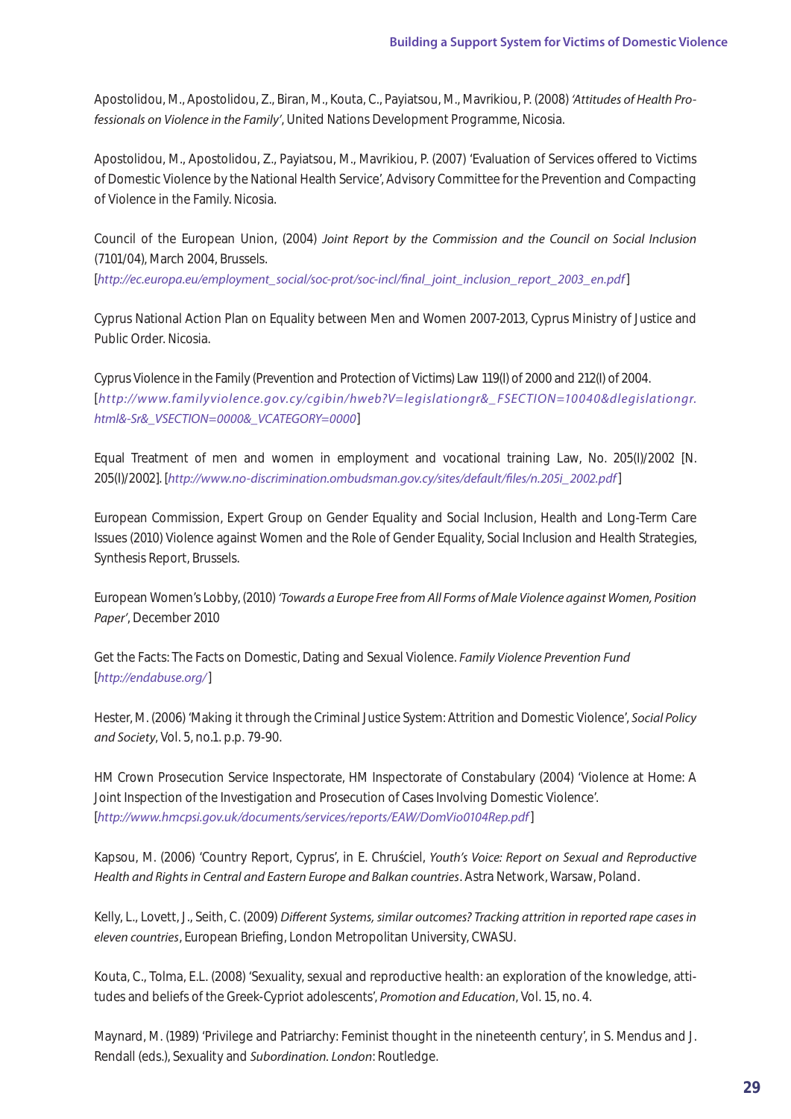Apostolidou, M., Apostolidou, Z., Biran, M., Kouta, C., Payiatsou, M., Mavrikiou, P. (2008) *'Attitudes of Health Professionals on Violence in the Family'*, United Nations Development Programme, Nicosia.

Apostolidou, M., Apostolidou, Z., Payiatsou, M., Mavrikiou, P. (2007) 'Evaluation of Services of ered to Victims of Domestic Violence by the National Health Service', Advisory Committee for the Prevention and Compacting of Violence in the Family. Nicosia.

Council of the European Union, (2004) *Joint Report by the Commission and the Council on Social Inclusion*  (7101/04), March 2004, Brussels.

[*http://ec.europa.eu/employment\_social/soc-prot/soc-incl/final\_joint\_inclusion\_report\_2003\_en.pdf*]

Cyprus National Action Plan on Equality between Men and Women 2007-2013, Cyprus Ministry of Justice and Public Order. Nicosia.

Cyprus Violence in the Family (Prevention and Protection of Victims) Law 119(I) of 2000 and 212(I) of 2004. [*http://www.family violence.gov.cy/cgibin/hweb?V=legislationgr&\_ FSECTION=10040&dlegislationgr. html&-Sr&\_VSECTION=0000&\_VCATEGORY=0000*]

Equal Treatment of men and women in employment and vocational training Law, No. 205(I)/2002 [N. 205(Ι)/2002]. [*http://www.no-discrimination.ombudsman.gov.cy/sites/default/files/n.205i\_2002.pdf*]

European Commission, Expert Group on Gender Equality and Social Inclusion, Health and Long-Term Care Issues (2010) Violence against Women and the Role of Gender Equality, Social Inclusion and Health Strategies, Synthesis Report, Brussels.

European Women's Lobby, (2010) *'Towards a Europe Free from All Forms of Male Violence against Women, Position Paper'*, December 2010

Get the Facts: The Facts on Domestic, Dating and Sexual Violence. *Family Violence Prevention Fund* [*http://endabuse.org/*]

Hester, M. (2006) 'Making it through the Criminal Justice System: Attrition and Domestic Violence', *Social Policy and Society*, Vol. 5, no.1. p.p. 79-90.

HM Crown Prosecution Service Inspectorate, HM Inspectorate of Constabulary (2004) 'Violence at Home: A Joint Inspection of the Investigation and Prosecution of Cases Involving Domestic Violence'. [*http://www.hmcpsi.gov.uk/documents/services/reports/EAW/DomVio0104Rep.pdf*]

Kapsou, M. (2006) 'Country Report, Cyprus', in E. Chru ciel, *Youth's Voice: Report on Sexual and Reproductive Health and Rights in Central and Eastern Europe and Balkan countries*. Astra Network, Warsaw, Poland.

Kelly, L., Lovett, J., Seith, C. (2009) *Different Systems, similar outcomes? Tracking attrition in reported rape cases in eleven countries*, European Briefing, London Metropolitan University, CWASU.

Kouta, C., Tolma, E.L. (2008) 'Sexuality, sexual and reproductive health: an exploration of the knowledge, attitudes and beliefs of the Greek-Cypriot adolescents', *Promotion and Education*, Vol. 15, no. 4.

Maynard, M. (1989) 'Privilege and Patriarchy: Feminist thought in the nineteenth century', in S. Mendus and J. Rendall (eds.), Sexuality and *Subordination. London*: Routledge.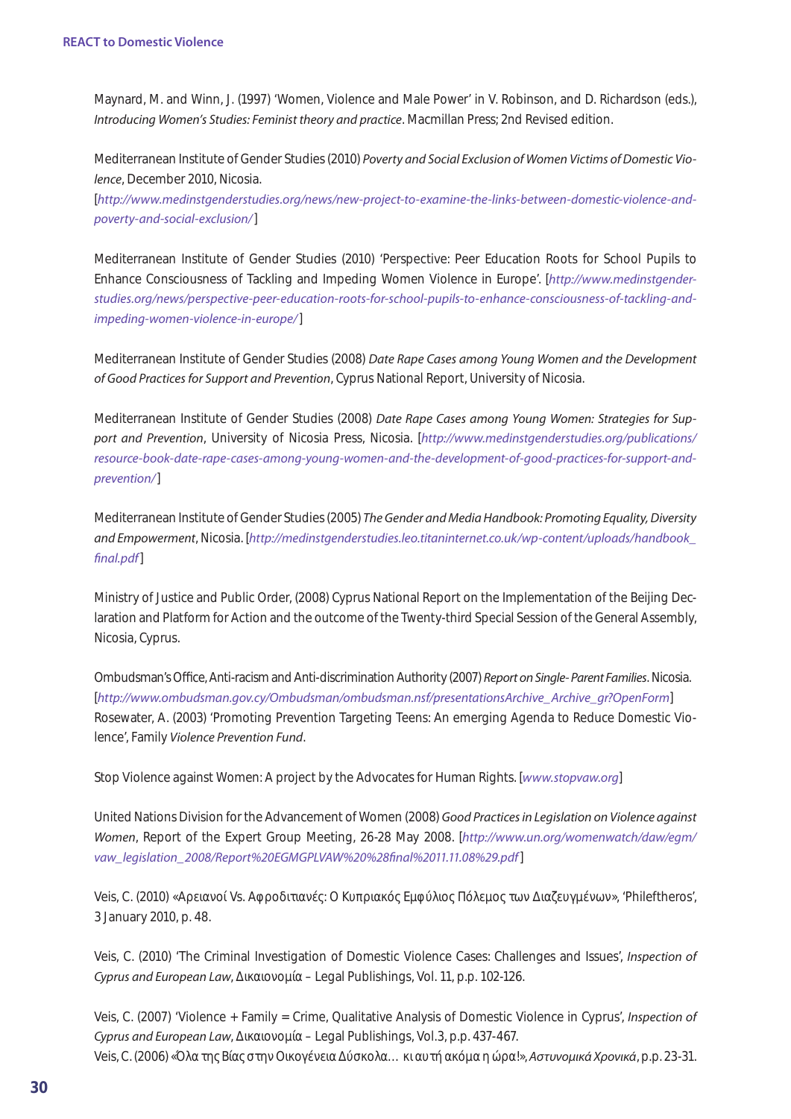Maynard, M. and Winn, J. (1997) 'Women, Violence and Male Power' in V. Robinson, and D. Richardson (eds.), *Introducing Women's Studies: Feminist theory and practice*. Macmillan Press; 2nd Revised edition.

Mediterranean Institute of Gender Studies (2010) *Poverty and Social Exclusion of Women Victims of Domestic Violence*, December 2010, Nicosia.

[*http://www.medinstgenderstudies.org/news/new-project-to-examine-the-links-between-domestic-violence-andpoverty-and-social-exclusion/*]

Mediterranean Institute of Gender Studies (2010) 'Perspective: Peer Education Roots for School Pupils to Enhance Consciousness of Tackling and Impeding Women Violence in Europe'. [*http://www.medinstgenderstudies.org/news/perspective-peer-education-roots-for-school-pupils-to-enhance-consciousness-of-tackling-andimpeding-women-violence-in-europe/*]

Mediterranean Institute of Gender Studies (2008) *Date Rape Cases among Young Women and the Development of Good Practices for Support and Prevention*, Cyprus National Report, University of Nicosia.

Mediterranean Institute of Gender Studies (2008) *Date Rape Cases among Young Women: Strategies for Support and Prevention*, University of Nicosia Press, Nicosia. [*http://www.medinstgenderstudies.org/publications/ resource-book-date-rape-cases-among-young-women-and-the-development-of-good-practices-for-support-andprevention/*]

Mediterranean Institute of Gender Studies (2005) *The Gender and Media Handbook: Promoting Equality, Diversity and Empowerment*, Nicosia. [*http://medinstgenderstudies.leo.titaninternet.co.uk/wp-content/uploads/handbook\_ final.pdf*]

Ministry of Justice and Public Order, (2008) Cyprus National Report on the Implementation of the Beijing Declaration and Platform for Action and the outcome of the Twenty-third Special Session of the General Assembly, Nicosia, Cyprus.

Ombudsman's Office, Anti-racism and Anti-discrimination Authority (2007) *Report on Single- Parent Families*. Nicosia. [*http://www.ombudsman.gov.cy/Ombudsman/ombudsman.nsf/presentationsArchive\_Archive\_gr?OpenForm*] Rosewater, A. (2003) 'Promoting Prevention Targeting Teens: An emerging Agenda to Reduce Domestic Violence', Family *Violence Prevention Fund*.

Stop Violence against Women: A project by the Advocates for Human Rights. [*www.stopvaw.org*]

United Nations Division for the Advancement of Women (2008) *Good Practices in Legislation on Violence against Women*, Report of the Expert Group Meeting, 26-28 May 2008. [*http://www.un.org/womenwatch/daw/egm/ vaw\_legislation\_2008/Report%20EGMGPLVAW%20%28final%2011.11.08%29.pdf*]

Veis, C. (2010) «  $V$ s.  $V$ s.  $V$   $\vdots$   $\qquad \qquad \mu$   $\qquad \qquad \mu$   $\qquad \qquad \mu$   $\qquad \qquad$  'Phileftheros', 3 January 2010, p. 48.

Veis, C. (2010) 'The Criminal Investigation of Domestic Violence Cases: Challenges and Issues', *Inspection of Cyprus and European Law*,  $\mu$  – Legal Publishings, Vol. 11, p.p. 102-126.

Veis, C. (2007) 'Violence + Family = Crime, Qualitative Analysis of Domestic Violence in Cyprus', *Inspection of Cyprus and European Law*,  $\mu$  – Legal Publishings, Vol.3, p.p. 437-467. Veis, C. (2006) «Όλα της Βίας στην Οικογένεια Δίας στην Οικογένεια η ώρα η θα η θα η ώρα η ώρα η ώρα η ώρα η ώρ